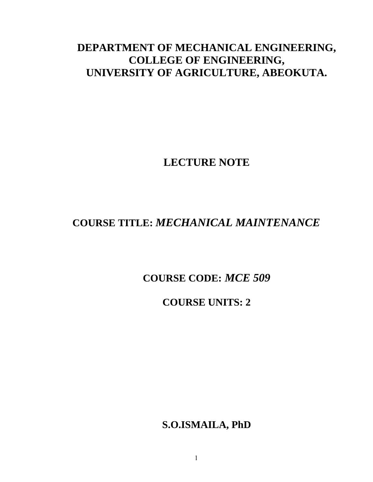# **DEPARTMENT OF MECHANICAL ENGINEERING, COLLEGE OF ENGINEERING, UNIVERSITY OF AGRICULTURE, ABEOKUTA.**

# **LECTURE NOTE**

# **COURSE TITLE:** *MECHANICAL MAINTENANCE*

# **COURSE CODE:** *MCE 509*

# **COURSE UNITS: 2**

**S.O.ISMAILA, PhD**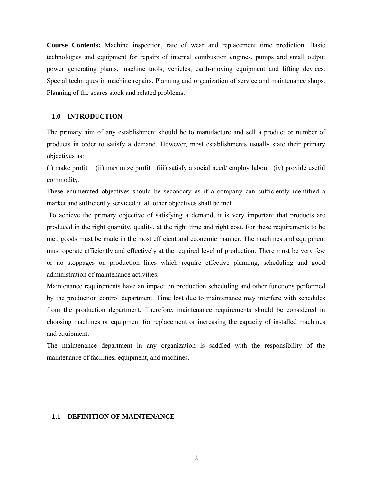**Course Contents:** Machine inspection, rate of wear and replacement time prediction. Basic technologies and equipment for repairs of internal combustion engines, pumps and small output power generating plants, machine tools, vehicles, earth-moving equipment and lifting devices. Special techniques in machine repairs. Planning and organization of service and maintenance shops. Planning of the spares stock and related problems.

#### **1.0 INTRODUCTION**

The primary aim of any establishment should be to manufacture and sell a product or number of products in order to satisfy a demand. However, most establishments usually state their primary objectives as:

(i) make profit (ii) maximize profit (iii) satisfy a social need/ employ labour (iv) provide useful commodity.

These enumerated objectives should be secondary as if a company can sufficiently identified a market and sufficiently serviced it, all other objectives shall be met.

 To achieve the primary objective of satisfying a demand, it is very important that products are produced in the right quantity, quality, at the right time and right cost. For these requirements to be met, goods must be made in the most efficient and economic manner. The machines and equipment must operate efficiently and effectively at the required level of production. There must be very few or no stoppages on production lines which require effective planning, scheduling and good administration of maintenance activities.

Maintenance requirements have an impact on production scheduling and other functions performed by the production control department. Time lost due to maintenance may interfere with schedules from the production department. Therefore, maintenance requirements should be considered in choosing machines or equipment for replacement or increasing the capacity of installed machines and equipment.

The maintenance department in any organization is saddled with the responsibility of the maintenance of facilities, equipment, and machines.

#### **1.1 DEFINITION OF MAINTENANCE**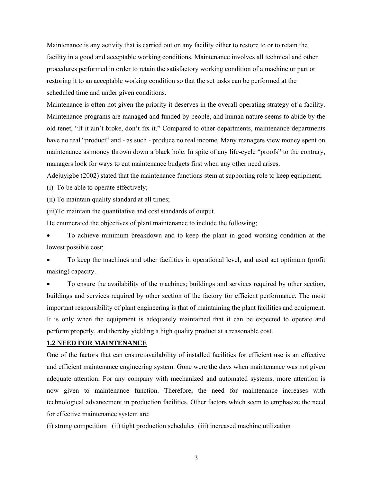Maintenance is any activity that is carried out on any facility either to restore to or to retain the facility in a good and acceptable working conditions. Maintenance involves all technical and other procedures performed in order to retain the satisfactory working condition of a machine or part or restoring it to an acceptable working condition so that the set tasks can be performed at the scheduled time and under given conditions.

Maintenance is often not given the priority it deserves in the overall operating strategy of a facility. Maintenance programs are managed and funded by people, and human nature seems to abide by the old tenet, "If it ain't broke, don't fix it." Compared to other departments, maintenance departments have no real "product" and - as such - produce no real income. Many managers view money spent on maintenance as money thrown down a black hole. In spite of any life-cycle "proofs" to the contrary, managers look for ways to cut maintenance budgets first when any other need arises.

Adejuyigbe (2002) stated that the maintenance functions stem at supporting role to keep equipment; (i) To be able to operate effectively;

(ii) To maintain quality standard at all times;

(iii)To maintain the quantitative and cost standards of output.

He enumerated the objectives of plant maintenance to include the following;

• To achieve minimum breakdown and to keep the plant in good working condition at the lowest possible cost;

• To keep the machines and other facilities in operational level, and used act optimum (profit making) capacity.

• To ensure the availability of the machines; buildings and services required by other section, buildings and services required by other section of the factory for efficient performance. The most important responsibility of plant engineering is that of maintaining the plant facilities and equipment. It is only when the equipment is adequately maintained that it can be expected to operate and perform properly, and thereby yielding a high quality product at a reasonable cost.

# **1.2 NEED FOR MAINTENANCE**

One of the factors that can ensure availability of installed facilities for efficient use is an effective and efficient maintenance engineering system. Gone were the days when maintenance was not given adequate attention. For any company with mechanized and automated systems, more attention is now given to maintenance function. Therefore, the need for maintenance increases with technological advancement in production facilities. Other factors which seem to emphasize the need for effective maintenance system are:

(i) strong competition (ii) tight production schedules (iii) increased machine utilization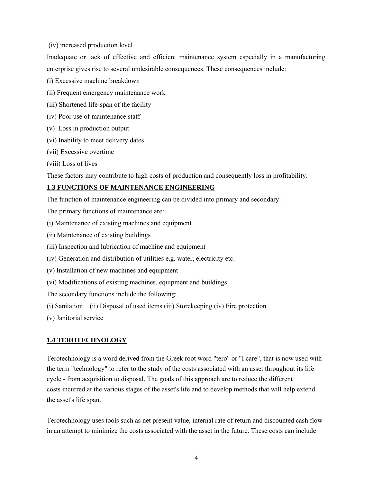(iv) increased production level

Inadequate or lack of effective and efficient maintenance system especially in a manufacturing enterprise gives rise to several undesirable consequences. These consequences include:

(i) Excessive machine breakdown

- (ii) Frequent emergency maintenance work
- (iii) Shortened life-span of the facility
- (iv) Poor use of maintenance staff
- (v) Loss in production output
- (vi) Inability to meet delivery dates
- (vii) Excessive overtime
- (viii) Loss of lives

These factors may contribute to high costs of production and consequently loss in profitability.

# **1.3 FUNCTIONS OF MAINTENANCE ENGINEERING**

The function of maintenance engineering can be divided into primary and secondary:

- The primary functions of maintenance are:
- (i) Maintenance of existing machines and equipment
- (ii) Maintenance of existing buildings
- (iii) Inspection and lubrication of machine and equipment
- (iv) Generation and distribution of utilities e.g. water, electricity etc.
- (v) Installation of new machines and equipment
- (vi) Modifications of existing machines, equipment and buildings

The secondary functions include the following:

- (i) Sanitation (ii) Disposal of used items (iii) Storekeeping (iv) Fire protection
- (v) Janitorial service

# **1.4 TEROTECHNOLOGY**

Terotechnology is a word derived from the Greek root word "tero" or "I care", that is now used with the term "technology" to refer to the study of the costs associated with an asset throughout its life cycle - from acquisition to disposal. The goals of this approach are to reduce the different costs incurred at the various stages of the asset's life and to develop methods that will help extend the asset's life span.

Terotechnology uses tools such as net present value, internal rate of return and discounted cash flow in an attempt to minimize the costs associated with the asset in the future. These costs can include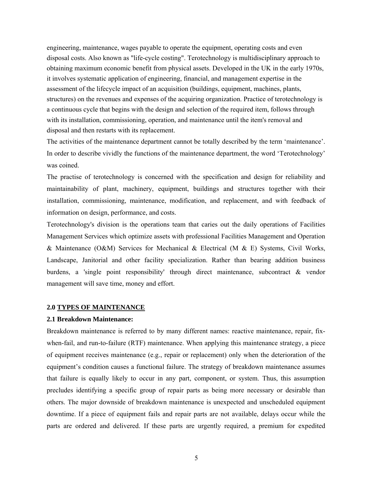engineering, maintenance, wages payable to operate the equipment, operating costs and even disposal costs. Also known as "life-cycle costing". Terotechnology is multidisciplinary approach to obtaining maximum economic benefit from physical assets. Developed in the UK in the early 1970s, it involves systematic application of engineering, financial, and management expertise in the assessment of the lifecycle impact of an acquisition (buildings, equipment, machines, plants, structures) on the revenues and expenses of the acquiring organization. Practice of terotechnology is a continuous cycle that begins with the design and selection of the required item, follows through with its installation, commissioning, operation, and maintenance until the item's removal and disposal and then restarts with its replacement.

The activities of the maintenance department cannot be totally described by the term 'maintenance'. In order to describe vividly the functions of the maintenance department, the word 'Terotechnology' was coined.

The practise of terotechnology is concerned with the specification and design for reliability and maintainability of plant, machinery, equipment, buildings and structures together with their installation, commissioning, maintenance, modification, and replacement, and with feedback of information on design, performance, and costs.

Terotechnology's division is the operations team that caries out the daily operations of Facilities Management Services which optimize assets with professional Facilities Management and Operation & Maintenance (O&M) Services for Mechanical & Electrical (M & E) Systems, Civil Works, Landscape, Janitorial and other facility specialization. Rather than bearing addition business burdens, a 'single point responsibility' through direct maintenance, subcontract & vendor management will save time, money and effort.

# **2.0 TYPES OF MAINTENANCE**

### **2.1 Breakdown Maintenance:**

Breakdown maintenance is referred to by many different names: reactive maintenance, repair, fixwhen-fail, and run-to-failure (RTF) maintenance. When applying this maintenance strategy, a piece of equipment receives maintenance (e.g., repair or replacement) only when the deterioration of the equipment's condition causes a functional failure. The strategy of breakdown maintenance assumes that failure is equally likely to occur in any part, component, or system. Thus, this assumption precludes identifying a specific group of repair parts as being more necessary or desirable than others. The major downside of breakdown maintenance is unexpected and unscheduled equipment downtime. If a piece of equipment fails and repair parts are not available, delays occur while the parts are ordered and delivered. If these parts are urgently required, a premium for expedited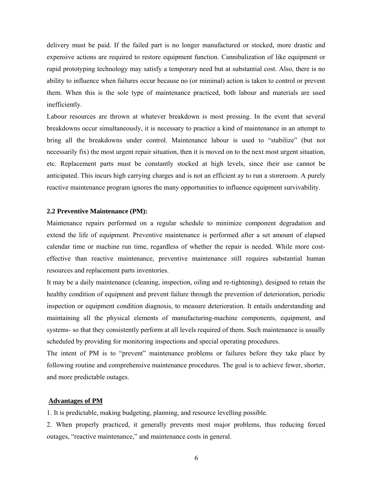delivery must be paid. If the failed part is no longer manufactured or stocked, more drastic and expensive actions are required to restore equipment function. Cannibalization of like equipment or rapid prototyping technology may satisfy a temporary need but at substantial cost. Also, there is no ability to influence when failures occur because no (or minimal) action is taken to control or prevent them. When this is the sole type of maintenance practiced, both labour and materials are used inefficiently.

Labour resources are thrown at whatever breakdown is most pressing. In the event that several breakdowns occur simultaneously, it is necessary to practice a kind of maintenance in an attempt to bring all the breakdowns under control. Maintenance labour is used to "stabilize" (but not necessarily fix) the most urgent repair situation, then it is moved on to the next most urgent situation, etc. Replacement parts must be constantly stocked at high levels, since their use cannot be anticipated. This incurs high carrying charges and is not an efficient ay to run a storeroom. A purely reactive maintenance program ignores the many opportunities to influence equipment survivability.

#### **2.2 Preventive Maintenance (PM):**

Maintenance repairs performed on a regular schedule to minimize component degradation and extend the life of equipment. Preventive maintenance is performed after a set amount of elapsed calendar time or machine run time, regardless of whether the repair is needed. While more costeffective than reactive maintenance, preventive maintenance still requires substantial human resources and replacement parts inventories.

It may be a daily maintenance (cleaning, inspection, oiling and re-tightening), designed to retain the healthy condition of equipment and prevent failure through the prevention of deterioration, periodic inspection or equipment condition diagnosis, to measure deterioration. It entails understanding and maintaining all the physical elements of manufacturing-machine components, equipment, and systems- so that they consistently perform at all levels required of them. Such maintenance is usually scheduled by providing for monitoring inspections and special operating procedures.

The intent of PM is to "prevent" maintenance problems or failures before they take place by following routine and comprehensive maintenance procedures. The goal is to achieve fewer, shorter, and more predictable outages.

#### **Advantages of PM**

1. It is predictable, making budgeting, planning, and resource levelling possible.

2. When properly practiced, it generally prevents most major problems, thus reducing forced outages, "reactive maintenance," and maintenance costs in general.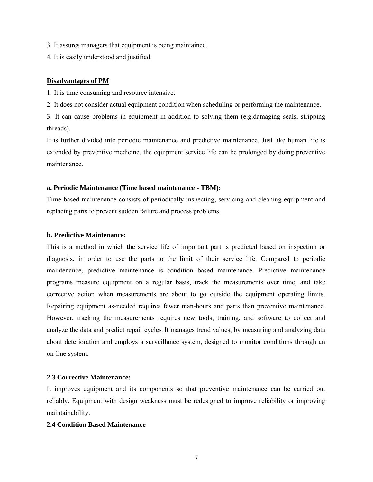- 3. It assures managers that equipment is being maintained.
- 4. It is easily understood and justified.

### **Disadvantages of PM**

1. It is time consuming and resource intensive.

2. It does not consider actual equipment condition when scheduling or performing the maintenance.

3. It can cause problems in equipment in addition to solving them (e.g.damaging seals, stripping threads).

It is further divided into periodic maintenance and predictive maintenance. Just like human life is extended by preventive medicine, the equipment service life can be prolonged by doing preventive maintenance.

#### **a. Periodic Maintenance (Time based maintenance - TBM):**

Time based maintenance consists of periodically inspecting, servicing and cleaning equipment and replacing parts to prevent sudden failure and process problems.

# **b. Predictive Maintenance:**

This is a method in which the service life of important part is predicted based on inspection or diagnosis, in order to use the parts to the limit of their service life. Compared to periodic maintenance, predictive maintenance is condition based maintenance. Predictive maintenance programs measure equipment on a regular basis, track the measurements over time, and take corrective action when measurements are about to go outside the equipment operating limits. Repairing equipment as-needed requires fewer man-hours and parts than preventive maintenance. However, tracking the measurements requires new tools, training, and software to collect and analyze the data and predict repair cycles. It manages trend values, by measuring and analyzing data about deterioration and employs a surveillance system, designed to monitor conditions through an on-line system.

# **2.3 Corrective Maintenance:**

It improves equipment and its components so that preventive maintenance can be carried out reliably. Equipment with design weakness must be redesigned to improve reliability or improving maintainability.

## **2.4 Condition Based Maintenance**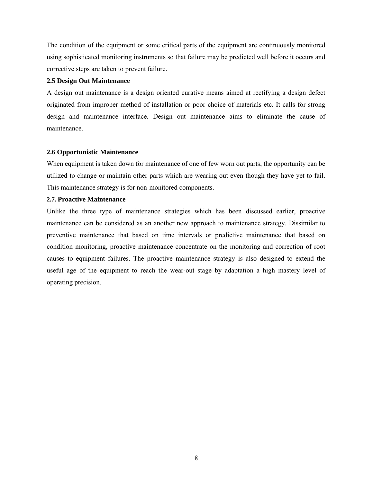The condition of the equipment or some critical parts of the equipment are continuously monitored using sophisticated monitoring instruments so that failure may be predicted well before it occurs and corrective steps are taken to prevent failure.

# **2.5 Design Out Maintenance**

A design out maintenance is a design oriented curative means aimed at rectifying a design defect originated from improper method of installation or poor choice of materials etc. It calls for strong design and maintenance interface. Design out maintenance aims to eliminate the cause of maintenance.

# **2.6 Opportunistic Maintenance**

When equipment is taken down for maintenance of one of few worn out parts, the opportunity can be utilized to change or maintain other parts which are wearing out even though they have yet to fail. This maintenance strategy is for non-monitored components.

# **2.7. Proactive Maintenance**

Unlike the three type of maintenance strategies which has been discussed earlier, proactive maintenance can be considered as an another new approach to maintenance strategy. Dissimilar to preventive maintenance that based on time intervals or predictive maintenance that based on condition monitoring, proactive maintenance concentrate on the monitoring and correction of root causes to equipment failures. The proactive maintenance strategy is also designed to extend the useful age of the equipment to reach the wear-out stage by adaptation a high mastery level of operating precision.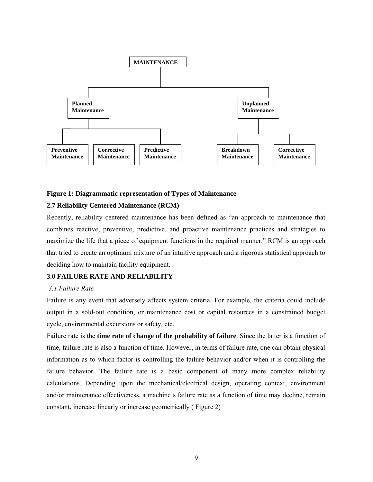

### **Figure 1: Diagrammatic representation of Types of Maintenance**

### **2.7 Reliability Centered Maintenance (RCM)**

Recently, reliability centered maintenance has been defined as "an approach to maintenance that combines reactive, preventive, predictive, and proactive maintenance practices and strategies to maximize the life that a piece of equipment functions in the required manner." RCM is an approach that tried to create an optimum mixture of an intuitive approach and a rigorous statistical approach to deciding how to maintain facility equipment.

# **3.0 FAILURE RATE AND RELIABILITY**

# *3.1 Failure Rate*

Failure is any event that adversely affects system criteria. For example, the criteria could include output in a sold-out condition, or maintenance cost or capital resources in a constrained budget cycle, environmental excursions or safety, etc.

Failure rate is the **time rate of change of the probability of failure**. Since the latter is a function of time, failure rate is also a function of time. However, in terms of failure rate, one can obtain physical information as to which factor is controlling the failure behavior and/or when it is controlling the failure behavior. The failure rate is a basic component of many more complex reliability calculations. Depending upon the mechanical/electrical design, operating context, environment and/or maintenance effectiveness, a machine's failure rate as a function of time may decline, remain constant, increase linearly or increase geometrically ( Figure 2)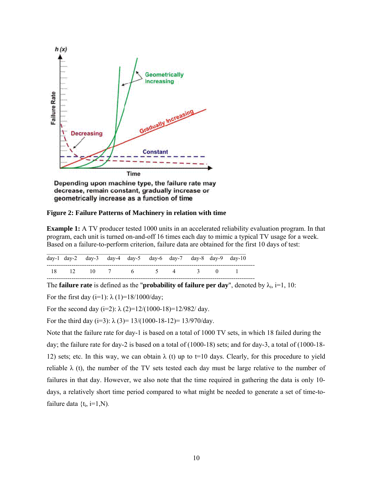

Depending upon machine type, the failure rate may decrease, remain constant, gradually increase or geometrically increase as a function of time

**Figure 2: Failure Patterns of Machinery in relation with time** 

**Example 1:** A TV producer tested 1000 units in an accelerated reliability evaluation program. In that program, each unit is turned on-and-off 16 times each day to mimic a typical TV usage for a week. Based on a failure-to-perform criterion, failure data are obtained for the first 10 days of test:

|  | day-1 day-2 day-3 day-4 day-5 day-6 day-7 day-8 day-9 day-10 |  |  |  |  |
|--|--------------------------------------------------------------|--|--|--|--|
|  | 18 12 10 7 6 5 4 3 0 1                                       |  |  |  |  |

The **failure rate** is defined as the "**probability of failure per day**", denoted by  $\lambda_i$ , i=1, 10:

For the first day (i=1):  $\lambda$  (1)=18/1000/day;

For the second day (i=2):  $\lambda$  (2)=12/(1000-18)=12/982/ day.

For the third day (i=3):  $\lambda$  (3)= 13/(1000-18-12)= 13/970/day.

Note that the failure rate for day-1 is based on a total of 1000 TV sets, in which 18 failed during the day; the failure rate for day-2 is based on a total of (1000-18) sets; and for day-3, a total of (1000-18- 12) sets; etc. In this way, we can obtain  $\lambda$  (t) up to t=10 days. Clearly, for this procedure to yield reliable  $\lambda$  (t), the number of the TV sets tested each day must be large relative to the number of failures in that day. However, we also note that the time required in gathering the data is only 10 days, a relatively short time period compared to what might be needed to generate a set of time-tofailure data  $\{t_i, i=1, N\}$ .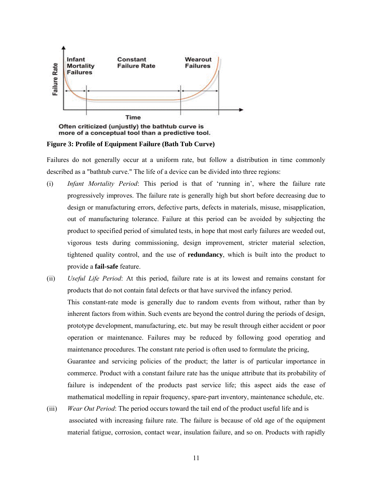

more of a conceptual tool than a predictive tool.

**Figure 3: Profile of Equipment Failure (Bath Tub Curve)** 

Failures do not generally occur at a uniform rate, but follow a distribution in time commonly described as a "bathtub curve." The life of a device can be divided into three regions:

- (i) *Infant Mortality Period*: This period is that of 'running in', where the failure rate progressively improves. The failure rate is generally high but short before decreasing due to design or manufacturing errors, defective parts, defects in materials, misuse, misapplication, out of manufacturing tolerance. Failure at this period can be avoided by subjecting the product to specified period of simulated tests, in hope that most early failures are weeded out, vigorous tests during commissioning, design improvement, stricter material selection, tightened quality control, and the use of **redundancy**, which is built into the product to provide a **fail-safe** feature.
- (ii) *Useful Life Period*: At this period, failure rate is at its lowest and remains constant for products that do not contain fatal defects or that have survived the infancy period. This constant-rate mode is generally due to random events from without, rather than by inherent factors from within. Such events are beyond the control during the periods of design, prototype development, manufacturing, etc. but may be result through either accident or poor operation or maintenance. Failures may be reduced by following good operatiog and maintenance procedures. The constant rate period is often used to formulate the pricing, Guarantee and servicing policies of the product; the latter is of particular importance in commerce. Product with a constant failure rate has the unique attribute that its probability of failure is independent of the products past service life; this aspect aids the ease of mathematical modelling in repair frequency, spare-part inventory, maintenance schedule, etc.
- (iii) *Wear Out Period*: The period occurs toward the tail end of the product useful life and is associated with increasing failure rate. The failure is because of old age of the equipment material fatigue, corrosion, contact wear, insulation failure, and so on. Products with rapidly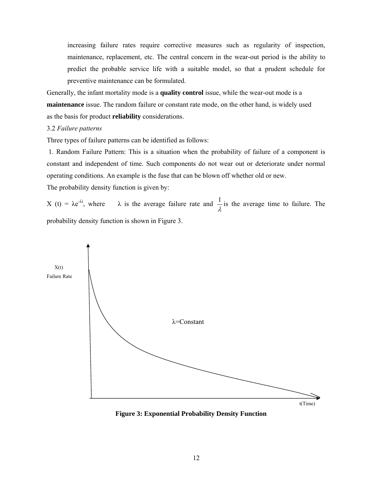increasing failure rates require corrective measures such as regularity of inspection, maintenance, replacement, etc. The central concern in the wear-out period is the ability to predict the probable service life with a suitable model, so that a prudent schedule for preventive maintenance can be formulated.

Generally, the infant mortality mode is a **quality control** issue, while the wear-out mode is a **maintenance** issue. The random failure or constant rate mode, on the other hand, is widely used as the basis for product **reliability** considerations.

### 3.2 *Failure patterns*

Three types of failure patterns can be identified as follows:

 1. Random Failure Pattern: This is a situation when the probability of failure of a component is constant and independent of time. Such components do not wear out or deteriorate under normal operating conditions. An example is the fuse that can be blown off whether old or new. The probability density function is given by:

X (t) = λe<sup>-λi</sup>, where λ is the average failure rate and  $\frac{1}{\lambda}$  is the average time to failure. The probability density function is shown in Figure 3.



**Figure 3: Exponential Probability Density Function**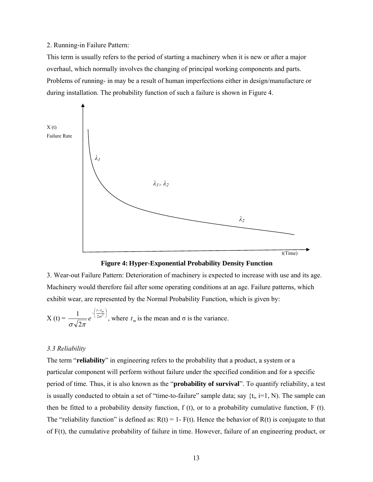#### 2. Running-in Failure Pattern:

This term is usually refers to the period of starting a machinery when it is new or after a major overhaul, which normally involves the changing of principal working components and parts. Problems of running- in may be a result of human imperfections either in design/manufacture or during installation. The probability function of such a failure is shown in Figure 4.





3. Wear-out Failure Pattern: Deterioration of machinery is expected to increase with use and its age. Machinery would therefore fail after some operating conditions at an age. Failure patterns, which exhibit wear, are represented by the Normal Probability Function, which is given by:

X (t) = 
$$
\frac{1}{\sigma \sqrt{2\pi}} e^{-\left(\frac{t-t_m}{2\sigma^2}\right)}
$$
, where  $t_m$  is the mean and  $\sigma$  is the variance.

## *3.3 Reliability*

The term "**reliability**" in engineering refers to the probability that a product, a system or a particular component will perform without failure under the specified condition and for a specific period of time. Thus, it is also known as the "**probability of survival**". To quantify reliability, a test is usually conducted to obtain a set of "time-to-failure" sample data; say  $\{t_i, i=1, N\}$ . The sample can then be fitted to a probability density function,  $f(t)$ , or to a probability cumulative function,  $F(t)$ . The "reliability function" is defined as:  $R(t) = 1 - F(t)$ . Hence the behavior of  $R(t)$  is conjugate to that of F(t), the cumulative probability of failure in time. However, failure of an engineering product, or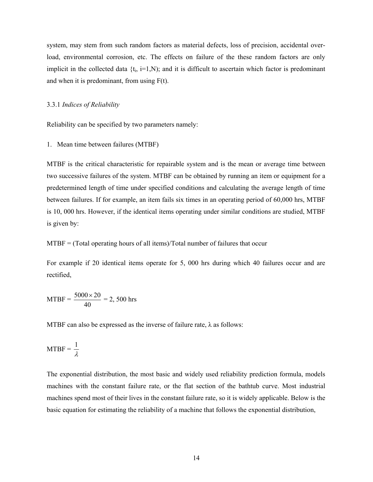system, may stem from such random factors as material defects, loss of precision, accidental overload, environmental corrosion, etc. The effects on failure of the these random factors are only implicit in the collected data  $\{t_i, i=1,N\}$ ; and it is difficult to ascertain which factor is predominant and when it is predominant, from using F(t).

# 3.3.1 *Indices of Reliability*

Reliability can be specified by two parameters namely:

1. Mean time between failures (MTBF)

MTBF is the critical characteristic for repairable system and is the mean or average time between two successive failures of the system. MTBF can be obtained by running an item or equipment for a predetermined length of time under specified conditions and calculating the average length of time between failures. If for example, an item fails six times in an operating period of 60,000 hrs, MTBF is 10, 000 hrs. However, if the identical items operating under similar conditions are studied, MTBF is given by:

MTBF = (Total operating hours of all items)/Total number of failures that occur

For example if 20 identical items operate for 5, 000 hrs during which 40 failures occur and are rectified,

MTBF = 
$$
\frac{5000 \times 20}{40} = 2,500
$$
 hrs

MTBF can also be expressed as the inverse of failure rate,  $\lambda$  as follows:

$$
MTBF = \frac{1}{\lambda}
$$

The exponential distribution, the most basic and widely used reliability prediction formula, models machines with the constant failure rate, or the flat section of the bathtub curve. Most industrial machines spend most of their lives in the constant failure rate, so it is widely applicable. Below is the basic equation for estimating the reliability of a machine that follows the exponential distribution,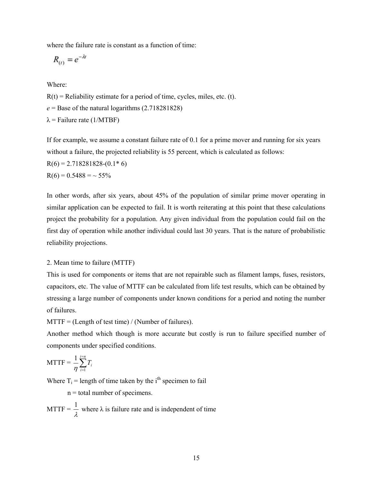where the failure rate is constant as a function of time:

$$
R_{(t)} = e^{-\lambda t}
$$

Where:

 $R(t)$  = Reliability estimate for a period of time, cycles, miles, etc. (t).

 $e =$ Base of the natural logarithms  $(2.718281828)$ 

 $\lambda$  = Failure rate (1/MTBF)

If for example, we assume a constant failure rate of 0.1 for a prime mover and running for six years without a failure, the projected reliability is 55 percent, which is calculated as follows:

 $R(6) = 2.718281828-(0.1*6)$ 

 $R(6) = 0.5488 = ~55\%$ 

In other words, after six years, about 45% of the population of similar prime mover operating in similar application can be expected to fail. It is worth reiterating at this point that these calculations project the probability for a population. Any given individual from the population could fail on the first day of operation while another individual could last 30 years. That is the nature of probabilistic reliability projections.

# 2. Mean time to failure (MTTF)

This is used for components or items that are not repairable such as filament lamps, fuses, resistors, capacitors, etc. The value of MTTF can be calculated from life test results, which can be obtained by stressing a large number of components under known conditions for a period and noting the number of failures.

 $MTTF = (Length of test time) / (Number of failures).$ 

Another method which though is more accurate but costly is run to failure specified number of components under specified conditions.

$$
MTTF = \frac{1}{\eta} \sum_{i=1}^{i=n} T_i
$$

Where  $T_i$  = length of time taken by the i<sup>th</sup> specimen to fail

n = total number of specimens.

MTTF =  $\frac{1}{\lambda}$  where  $\lambda$  is failure rate and is independent of time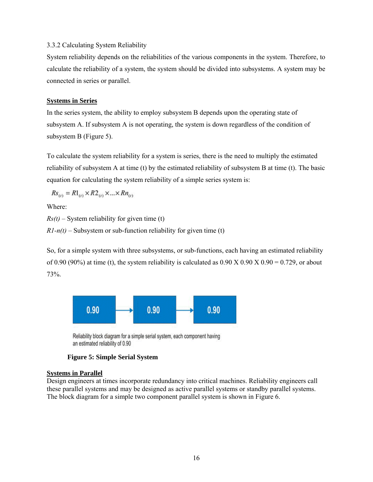# 3.3.2 Calculating System Reliability

System reliability depends on the reliabilities of the various components in the system. Therefore, to calculate the reliability of a system, the system should be divided into subsystems. A system may be connected in series or parallel.

# **Systems in Series**

In the series system, the ability to employ subsystem B depends upon the operating state of subsystem A. If subsystem A is not operating, the system is down regardless of the condition of subsystem B (Figure 5).

To calculate the system reliability for a system is series, there is the need to multiply the estimated reliability of subsystem A at time (t) by the estimated reliability of subsystem B at time (t). The basic equation for calculating the system reliability of a simple series system is:

 $Rs_{(i)} = R1_{(i)} \times R2_{(i)} \times ... \times Rn_{(i)}$ 

Where:

 $Rs(t)$  – System reliability for given time (t)

 $R1-n(t)$  – Subsystem or sub-function reliability for given time (t)

So, for a simple system with three subsystems, or sub-functions, each having an estimated reliability of 0.90 (90%) at time (t), the system reliability is calculated as  $0.90 \times 0.90 \times 0.90 = 0.729$ , or about 73%.



Reliability block diagram for a simple serial system, each component having an estimated reliability of 0.90

# **Figure 5: Simple Serial System**

# **Systems in Parallel**

Design engineers at times incorporate redundancy into critical machines. Reliability engineers call these parallel systems and may be designed as active parallel systems or standby parallel systems. The block diagram for a simple two component parallel system is shown in Figure 6.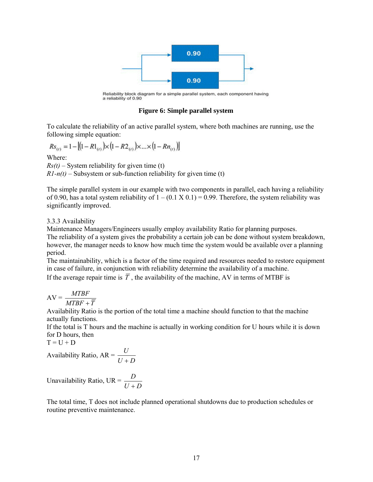

Reliability block diagram for a simple parallel system, each component having a reliability of 0.90

# **Figure 6: Simple parallel system**

To calculate the reliability of an active parallel system, where both machines are running, use the following simple equation:

$$
Rs_{(t)} = 1 - [(1 - R1_{(t)}) \times (1 - R2_{(t)}) \times ... \times (1 - Rn_{(t)})]
$$

Where:

 $Rs(t)$  – System reliability for given time (t)  $R1-n(t)$  – Subsystem or sub-function reliability for given time (t)

The simple parallel system in our example with two components in parallel, each having a reliability of 0.90, has a total system reliability of  $1 - (0.1 \times 0.1) = 0.99$ . Therefore, the system reliability was significantly improved.

# 3.3.3 Availability

Maintenance Managers/Engineers usually employ availability Ratio for planning purposes. The reliability of a system gives the probability a certain job can be done without system breakdown, however, the manager needs to know how much time the system would be available over a planning period.

The maintainability, which is a factor of the time required and resources needed to restore equipment in case of failure, in conjunction with reliability determine the availability of a machine.

If the average repair time is  $\overline{T}$ , the availability of the machine, AV in terms of MTBF is

$$
AV = \frac{MTBF}{MTBF + \overline{T}}
$$

Availability Ratio is the portion of the total time a machine should function to that the machine actually functions.

If the total is T hours and the machine is actually in working condition for U hours while it is down for D hours, then

 $T = U + D$ 

Availability Ratio,  $AR = \frac{U}{U+D}$ +

Unavailability Ratio, UR =  $\frac{D}{U+D}$ +

The total time, T does not include planned operational shutdowns due to production schedules or routine preventive maintenance.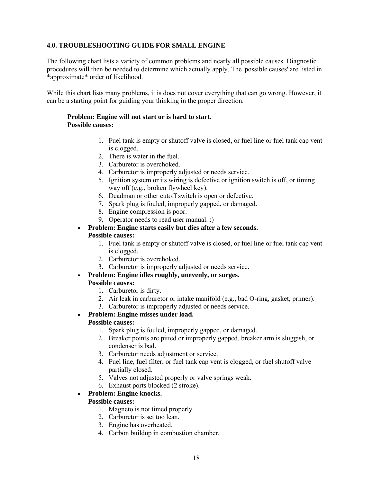# **4.0. TROUBLESHOOTING GUIDE FOR SMALL ENGINE**

The following chart lists a variety of common problems and nearly all possible causes. Diagnostic procedures will then be needed to determine which actually apply. The 'possible causes' are listed in \*approximate\* order of likelihood.

While this chart lists many problems, it is does not cover everything that can go wrong. However, it can be a starting point for guiding your thinking in the proper direction.

# **Problem: Engine will not start or is hard to start**. **Possible causes:**

- 1. Fuel tank is empty or shutoff valve is closed, or fuel line or fuel tank cap vent is clogged.
- 2. There is water in the fuel.
- 3. Carburetor is overchoked.
- 4. Carburetor is improperly adjusted or needs service.
- 5. Ignition system or its wiring is defective or ignition switch is off, or timing way off (e.g., broken flywheel key).
- 6. Deadman or other cutoff switch is open or defective.
- 7. Spark plug is fouled, improperly gapped, or damaged.
- 8. Engine compression is poor.
- 9. Operator needs to read user manual. :)

# • **Problem: Engine starts easily but dies after a few seconds. Possible causes:**

- 1. Fuel tank is empty or shutoff valve is closed, or fuel line or fuel tank cap vent is clogged.
- 2. Carburetor is overchoked.
- 3. Carburetor is improperly adjusted or needs service.
- **Problem: Engine idles roughly, unevenly, or surges.**

# **Possible causes:**

- 1. Carburetor is dirty.
- 2. Air leak in carburetor or intake manifold (e.g., bad O-ring, gasket, primer).
- 3. Carburetor is improperly adjusted or needs service.

### • **Problem: Engine misses under load. Possible causes:**

- 1. Spark plug is fouled, improperly gapped, or damaged.
- 2. Breaker points are pitted or improperly gapped, breaker arm is sluggish, or condenser is bad.
- 3. Carburetor needs adjustment or service.
- 4. Fuel line, fuel filter, or fuel tank cap vent is clogged, or fuel shutoff valve partially closed.
- 5. Valves not adjusted properly or valve springs weak.
- 6. Exhaust ports blocked (2 stroke).

# • **Problem: Engine knocks.**

# **Possible causes:**

- 1. Magneto is not timed properly.
- 2. Carburetor is set too lean.
- 3. Engine has overheated.
- 4. Carbon buildup in combustion chamber.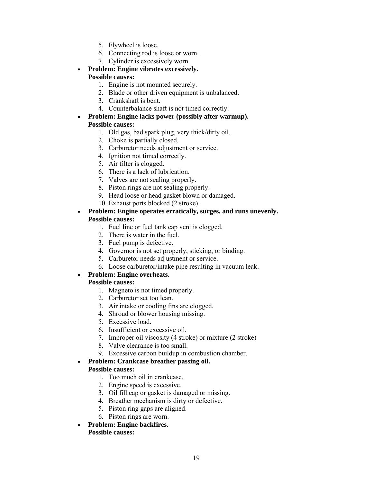- 5. Flywheel is loose.
- 6. Connecting rod is loose or worn.
- 7. Cylinder is excessively worn.
- **Problem: Engine vibrates excessively. Possible causes:** 
	- 1. Engine is not mounted securely.
	- 2. Blade or other driven equipment is unbalanced.
	- 3. Crankshaft is bent.
	- 4. Counterbalance shaft is not timed correctly.
- **Problem: Engine lacks power (possibly after warmup). Possible causes:** 
	- 1. Old gas, bad spark plug, very thick/dirty oil.
	- 2. Choke is partially closed.
	- 3. Carburetor needs adjustment or service.
	- 4. Ignition not timed correctly.
	- 5. Air filter is clogged.
	- 6. There is a lack of lubrication.
	- 7. Valves are not sealing properly.
	- 8. Piston rings are not sealing properly.
	- 9. Head loose or head gasket blown or damaged.
	- 10. Exhaust ports blocked (2 stroke).
- **Problem: Engine operates erratically, surges, and runs unevenly. Possible causes:** 
	- 1. Fuel line or fuel tank cap vent is clogged.
	- 2. There is water in the fuel.
	- 3. Fuel pump is defective.
	- 4. Governor is not set properly, sticking, or binding.
	- 5. Carburetor needs adjustment or service.
	- 6. Loose carburetor/intake pipe resulting in vacuum leak.

# • **Problem: Engine overheats.**

# **Possible causes:**

- 1. Magneto is not timed properly.
- 2. Carburetor set too lean.
- 3. Air intake or cooling fins are clogged.
- 4. Shroud or blower housing missing.
- 5. Excessive load.
- 6. Insufficient or excessive oil.
- 7. Improper oil viscosity (4 stroke) or mixture (2 stroke)
- 8. Valve clearance is too small.
- 9. Excessive carbon buildup in combustion chamber.

# • **Problem: Crankcase breather passing oil. Possible causes:**

- 1. Too much oil in crankcase.
- 2. Engine speed is excessive.
- 3. Oil fill cap or gasket is damaged or missing.
- 4. Breather mechanism is dirty or defective.
- 5. Piston ring gaps are aligned.
- 6. Piston rings are worn.
- **Problem: Engine backfires. Possible causes:**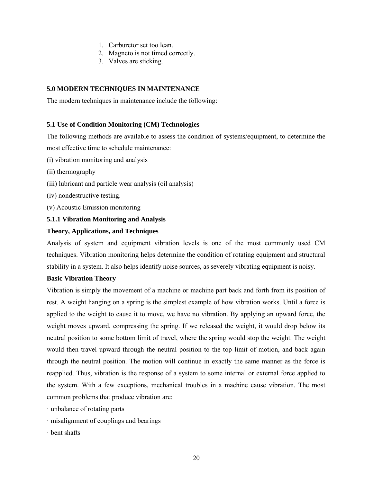- 1. Carburetor set too lean.
- 2. Magneto is not timed correctly.
- 3. Valves are sticking.

# **5.0 MODERN TECHNIQUES IN MAINTENANCE**

The modern techniques in maintenance include the following:

# **5.1 Use of Condition Monitoring (CM) Technologies**

The following methods are available to assess the condition of systems/equipment, to determine the most effective time to schedule maintenance:

- (i) vibration monitoring and analysis
- (ii) thermography
- (iii) lubricant and particle wear analysis (oil analysis)
- (iv) nondestructive testing.
- (v) Acoustic Emission monitoring

# **5.1.1 Vibration Monitoring and Analysis**

# **Theory, Applications, and Techniques**

Analysis of system and equipment vibration levels is one of the most commonly used CM techniques. Vibration monitoring helps determine the condition of rotating equipment and structural stability in a system. It also helps identify noise sources, as severely vibrating equipment is noisy.

# **Basic Vibration Theory**

Vibration is simply the movement of a machine or machine part back and forth from its position of rest. A weight hanging on a spring is the simplest example of how vibration works. Until a force is applied to the weight to cause it to move, we have no vibration. By applying an upward force, the weight moves upward, compressing the spring. If we released the weight, it would drop below its neutral position to some bottom limit of travel, where the spring would stop the weight. The weight would then travel upward through the neutral position to the top limit of motion, and back again through the neutral position. The motion will continue in exactly the same manner as the force is reapplied. Thus, vibration is the response of a system to some internal or external force applied to the system. With a few exceptions, mechanical troubles in a machine cause vibration. The most common problems that produce vibration are:

· unbalance of rotating parts

- · misalignment of couplings and bearings
- · bent shafts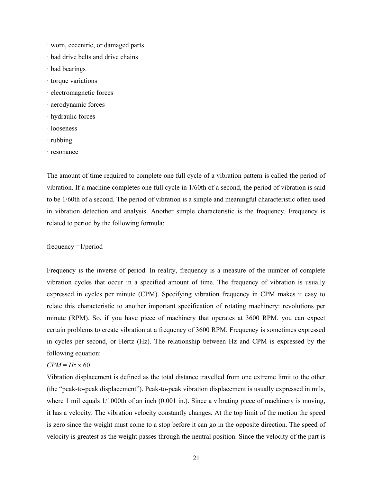- · worn, eccentric, or damaged parts
- · bad drive belts and drive chains
- · bad bearings
- · torque variations
- · electromagnetic forces
- · aerodynamic forces
- · hydraulic forces
- · looseness
- · rubbing
- · resonance

The amount of time required to complete one full cycle of a vibration pattern is called the period of vibration. If a machine completes one full cycle in 1/60th of a second, the period of vibration is said to be 1/60th of a second. The period of vibration is a simple and meaningful characteristic often used in vibration detection and analysis. Another simple characteristic is the frequency. Frequency is related to period by the following formula:

# frequency =1/period

Frequency is the inverse of period. In reality, frequency is a measure of the number of complete vibration cycles that occur in a specified amount of time. The frequency of vibration is usually expressed in cycles per minute (CPM). Specifying vibration frequency in CPM makes it easy to relate this characteristic to another important specification of rotating machinery: revolutions per minute (RPM). So, if you have piece of machinery that operates at 3600 RPM, you can expect certain problems to create vibration at a frequency of 3600 RPM. Frequency is sometimes expressed in cycles per second, or Hertz (Hz). The relationship between Hz and CPM is expressed by the following equation:

# *CPM* = *Hz* x 60

Vibration displacement is defined as the total distance travelled from one extreme limit to the other (the "peak-to-peak displacement"). Peak-to-peak vibration displacement is usually expressed in mils, where 1 mil equals 1/1000th of an inch (0.001 in.). Since a vibrating piece of machinery is moving, it has a velocity. The vibration velocity constantly changes. At the top limit of the motion the speed is zero since the weight must come to a stop before it can go in the opposite direction. The speed of velocity is greatest as the weight passes through the neutral position. Since the velocity of the part is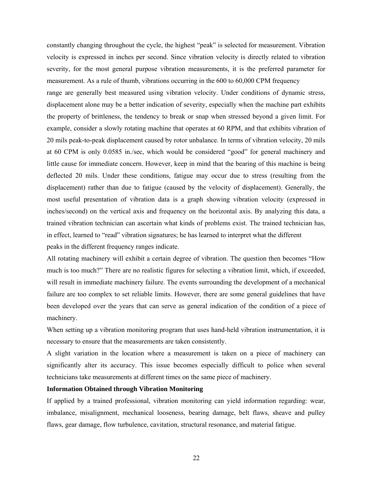constantly changing throughout the cycle, the highest "peak" is selected for measurement. Vibration velocity is expressed in inches per second. Since vibration velocity is directly related to vibration severity, for the most general purpose vibration measurements, it is the preferred parameter for measurement. As a rule of thumb, vibrations occurring in the 600 to 60,000 CPM frequency range are generally best measured using vibration velocity. Under conditions of dynamic stress, displacement alone may be a better indication of severity, especially when the machine part exhibits the property of brittleness, the tendency to break or snap when stressed beyond a given limit. For example, consider a slowly rotating machine that operates at 60 RPM, and that exhibits vibration of 20 mils peak-to-peak displacement caused by rotor unbalance. In terms of vibration velocity, 20 mils at 60 CPM is only 0.0585 in./sec, which would be considered "good" for general machinery and little cause for immediate concern. However, keep in mind that the bearing of this machine is being deflected 20 mils. Under these conditions, fatigue may occur due to stress (resulting from the displacement) rather than due to fatigue (caused by the velocity of displacement). Generally, the most useful presentation of vibration data is a graph showing vibration velocity (expressed in inches/second) on the vertical axis and frequency on the horizontal axis. By analyzing this data, a trained vibration technician can ascertain what kinds of problems exist. The trained technician has, in effect, learned to "read" vibration signatures; he has learned to interpret what the different peaks in the different frequency ranges indicate.

All rotating machinery will exhibit a certain degree of vibration. The question then becomes "How much is too much?" There are no realistic figures for selecting a vibration limit, which, if exceeded, will result in immediate machinery failure. The events surrounding the development of a mechanical failure are too complex to set reliable limits. However, there are some general guidelines that have been developed over the years that can serve as general indication of the condition of a piece of machinery.

When setting up a vibration monitoring program that uses hand-held vibration instrumentation, it is necessary to ensure that the measurements are taken consistently.

A slight variation in the location where a measurement is taken on a piece of machinery can significantly alter its accuracy. This issue becomes especially difficult to police when several technicians take measurements at different times on the same piece of machinery.

### **Information Obtained through Vibration Monitoring**

If applied by a trained professional, vibration monitoring can yield information regarding: wear, imbalance, misalignment, mechanical looseness, bearing damage, belt flaws, sheave and pulley flaws, gear damage, flow turbulence, cavitation, structural resonance, and material fatigue.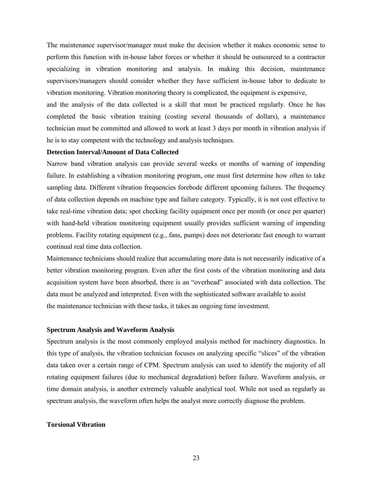The maintenance supervisor/manager must make the decision whether it makes economic sense to perform this function with in-house labor forces or whether it should be outsourced to a contractor specializing in vibration monitoring and analysis. In making this decision, maintenance supervisors/managers should consider whether they have sufficient in-house labor to dedicate to vibration monitoring. Vibration monitoring theory is complicated, the equipment is expensive,

and the analysis of the data collected is a skill that must be practiced regularly. Once he has completed the basic vibration training (costing several thousands of dollars), a maintenance technician must be committed and allowed to work at least 3 days per month in vibration analysis if he is to stay competent with the technology and analysis techniques.

# **Detection Interval/Amount of Data Collected**

Narrow band vibration analysis can provide several weeks or months of warning of impending failure. In establishing a vibration monitoring program, one must first determine how often to take sampling data. Different vibration frequencies forebode different upcoming failures. The frequency of data collection depends on machine type and failure category. Typically, it is not cost effective to take real-time vibration data; spot checking facility equipment once per month (or once per quarter) with hand-held vibration monitoring equipment usually provides sufficient warning of impending problems. Facility rotating equipment (e.g., fans, pumps) does not deteriorate fast enough to warrant continual real time data collection.

Maintenance technicians should realize that accumulating more data is not necessarily indicative of a better vibration monitoring program. Even after the first costs of the vibration monitoring and data acquisition system have been absorbed, there is an "overhead" associated with data collection. The data must be analyzed and interpreted. Even with the sophisticated software available to assist the maintenance technician with these tasks, it takes an ongoing time investment.

#### **Spectrum Analysis and Waveform Analysis**

Spectrum analysis is the most commonly employed analysis method for machinery diagnostics. In this type of analysis, the vibration technician focuses on analyzing specific "slices" of the vibration data taken over a certain range of CPM. Spectrum analysis can used to identify the majority of all rotating equipment failures (due to mechanical degradation) before failure. Waveform analysis, or time domain analysis, is another extremely valuable analytical tool. While not used as regularly as spectrum analysis, the waveform often helps the analyst more correctly diagnose the problem.

#### **Torsional Vibration**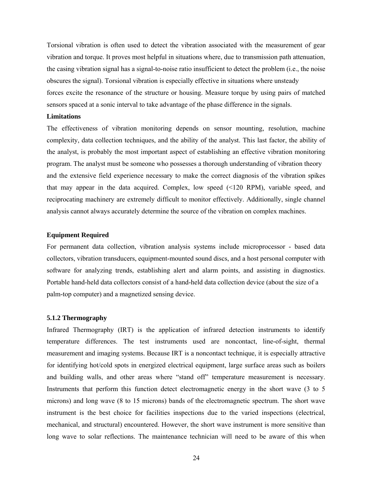Torsional vibration is often used to detect the vibration associated with the measurement of gear vibration and torque. It proves most helpful in situations where, due to transmission path attenuation, the casing vibration signal has a signal-to-noise ratio insufficient to detect the problem (i.e., the noise obscures the signal). Torsional vibration is especially effective in situations where unsteady forces excite the resonance of the structure or housing. Measure torque by using pairs of matched sensors spaced at a sonic interval to take advantage of the phase difference in the signals.

#### **Limitations**

The effectiveness of vibration monitoring depends on sensor mounting, resolution, machine complexity, data collection techniques, and the ability of the analyst. This last factor, the ability of the analyst, is probably the most important aspect of establishing an effective vibration monitoring program. The analyst must be someone who possesses a thorough understanding of vibration theory and the extensive field experience necessary to make the correct diagnosis of the vibration spikes that may appear in the data acquired. Complex, low speed  $\ll 120$  RPM), variable speed, and reciprocating machinery are extremely difficult to monitor effectively. Additionally, single channel analysis cannot always accurately determine the source of the vibration on complex machines.

## **Equipment Required**

For permanent data collection, vibration analysis systems include microprocessor - based data collectors, vibration transducers, equipment-mounted sound discs, and a host personal computer with software for analyzing trends, establishing alert and alarm points, and assisting in diagnostics. Portable hand-held data collectors consist of a hand-held data collection device (about the size of a palm-top computer) and a magnetized sensing device.

#### **5.1.2 Thermography**

Infrared Thermography (IRT) is the application of infrared detection instruments to identify temperature differences. The test instruments used are noncontact, line-of-sight, thermal measurement and imaging systems. Because IRT is a noncontact technique, it is especially attractive for identifying hot/cold spots in energized electrical equipment, large surface areas such as boilers and building walls, and other areas where "stand off" temperature measurement is necessary. Instruments that perform this function detect electromagnetic energy in the short wave (3 to 5 microns) and long wave (8 to 15 microns) bands of the electromagnetic spectrum. The short wave instrument is the best choice for facilities inspections due to the varied inspections (electrical, mechanical, and structural) encountered. However, the short wave instrument is more sensitive than long wave to solar reflections. The maintenance technician will need to be aware of this when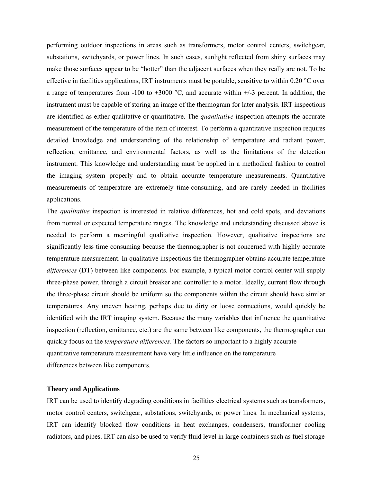performing outdoor inspections in areas such as transformers, motor control centers, switchgear, substations, switchyards, or power lines. In such cases, sunlight reflected from shiny surfaces may make those surfaces appear to be "hotter" than the adjacent surfaces when they really are not. To be effective in facilities applications, IRT instruments must be portable, sensitive to within 0.20  $\degree$ C over a range of temperatures from -100 to +3000  $^{\circ}$ C, and accurate within +/-3 percent. In addition, the instrument must be capable of storing an image of the thermogram for later analysis. IRT inspections are identified as either qualitative or quantitative. The *quantitative* inspection attempts the accurate measurement of the temperature of the item of interest. To perform a quantitative inspection requires detailed knowledge and understanding of the relationship of temperature and radiant power, reflection, emittance, and environmental factors, as well as the limitations of the detection instrument. This knowledge and understanding must be applied in a methodical fashion to control the imaging system properly and to obtain accurate temperature measurements. Quantitative measurements of temperature are extremely time-consuming, and are rarely needed in facilities applications.

The *qualitative* inspection is interested in relative differences, hot and cold spots, and deviations from normal or expected temperature ranges. The knowledge and understanding discussed above is needed to perform a meaningful qualitative inspection. However, qualitative inspections are significantly less time consuming because the thermographer is not concerned with highly accurate temperature measurement. In qualitative inspections the thermographer obtains accurate temperature *differences* (DT) between like components. For example, a typical motor control center will supply three-phase power, through a circuit breaker and controller to a motor. Ideally, current flow through the three-phase circuit should be uniform so the components within the circuit should have similar temperatures. Any uneven heating, perhaps due to dirty or loose connections, would quickly be identified with the IRT imaging system. Because the many variables that influence the quantitative inspection (reflection, emittance, etc.) are the same between like components, the thermographer can quickly focus on the *temperature differences*. The factors so important to a highly accurate quantitative temperature measurement have very little influence on the temperature differences between like components.

# **Theory and Applications**

IRT can be used to identify degrading conditions in facilities electrical systems such as transformers, motor control centers, switchgear, substations, switchyards, or power lines. In mechanical systems, IRT can identify blocked flow conditions in heat exchanges, condensers, transformer cooling radiators, and pipes. IRT can also be used to verify fluid level in large containers such as fuel storage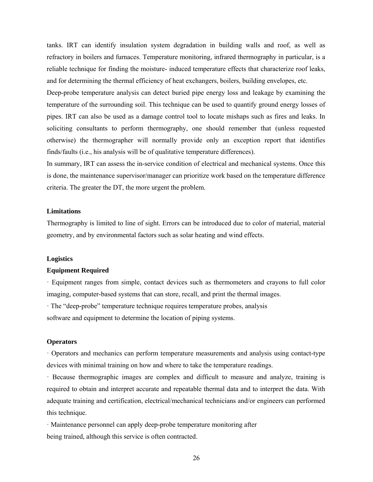tanks. IRT can identify insulation system degradation in building walls and roof, as well as refractory in boilers and furnaces. Temperature monitoring, infrared thermography in particular, is a reliable technique for finding the moisture- induced temperature effects that characterize roof leaks, and for determining the thermal efficiency of heat exchangers, boilers, building envelopes, etc.

Deep-probe temperature analysis can detect buried pipe energy loss and leakage by examining the temperature of the surrounding soil. This technique can be used to quantify ground energy losses of pipes. IRT can also be used as a damage control tool to locate mishaps such as fires and leaks. In soliciting consultants to perform thermography, one should remember that (unless requested otherwise) the thermographer will normally provide only an exception report that identifies finds/faults (i.e., his analysis will be of qualitative temperature differences).

In summary, IRT can assess the in-service condition of electrical and mechanical systems. Once this is done, the maintenance supervisor/manager can prioritize work based on the temperature difference criteria. The greater the DT, the more urgent the problem.

# **Limitations**

Thermography is limited to line of sight. Errors can be introduced due to color of material, material geometry, and by environmental factors such as solar heating and wind effects.

#### **Logistics**

# **Equipment Required**

· Equipment ranges from simple, contact devices such as thermometers and crayons to full color imaging, computer-based systems that can store, recall, and print the thermal images.

· The "deep-probe" temperature technique requires temperature probes, analysis software and equipment to determine the location of piping systems.

#### **Operators**

· Operators and mechanics can perform temperature measurements and analysis using contact-type devices with minimal training on how and where to take the temperature readings.

· Because thermographic images are complex and difficult to measure and analyze, training is required to obtain and interpret accurate and repeatable thermal data and to interpret the data. With adequate training and certification, electrical/mechanical technicians and/or engineers can performed this technique.

· Maintenance personnel can apply deep-probe temperature monitoring after being trained, although this service is often contracted.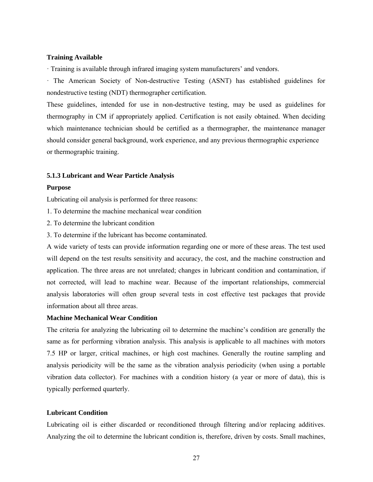### **Training Available**

· Training is available through infrared imaging system manufacturers' and vendors.

· The American Society of Non-destructive Testing (ASNT) has established guidelines for nondestructive testing (NDT) thermographer certification.

These guidelines, intended for use in non-destructive testing, may be used as guidelines for thermography in CM if appropriately applied. Certification is not easily obtained. When deciding which maintenance technician should be certified as a thermographer, the maintenance manager should consider general background, work experience, and any previous thermographic experience or thermographic training.

#### **5.1.3 Lubricant and Wear Particle Analysis**

#### **Purpose**

Lubricating oil analysis is performed for three reasons:

- 1. To determine the machine mechanical wear condition
- 2. To determine the lubricant condition
- 3. To determine if the lubricant has become contaminated.

A wide variety of tests can provide information regarding one or more of these areas. The test used will depend on the test results sensitivity and accuracy, the cost, and the machine construction and application. The three areas are not unrelated; changes in lubricant condition and contamination, if not corrected, will lead to machine wear. Because of the important relationships, commercial analysis laboratories will often group several tests in cost effective test packages that provide information about all three areas.

# **Machine Mechanical Wear Condition**

The criteria for analyzing the lubricating oil to determine the machine's condition are generally the same as for performing vibration analysis. This analysis is applicable to all machines with motors 7.5 HP or larger, critical machines, or high cost machines. Generally the routine sampling and analysis periodicity will be the same as the vibration analysis periodicity (when using a portable vibration data collector). For machines with a condition history (a year or more of data), this is typically performed quarterly.

# **Lubricant Condition**

Lubricating oil is either discarded or reconditioned through filtering and/or replacing additives. Analyzing the oil to determine the lubricant condition is, therefore, driven by costs. Small machines,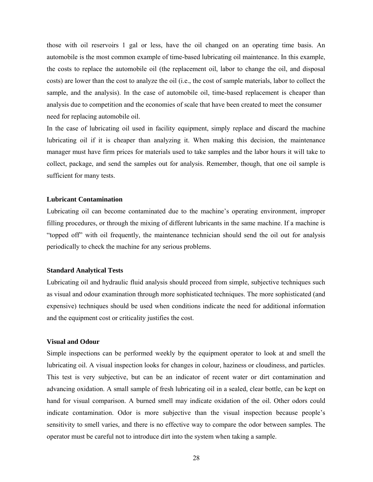those with oil reservoirs 1 gal or less, have the oil changed on an operating time basis. An automobile is the most common example of time-based lubricating oil maintenance. In this example, the costs to replace the automobile oil (the replacement oil, labor to change the oil, and disposal costs) are lower than the cost to analyze the oil (i.e., the cost of sample materials, labor to collect the sample, and the analysis). In the case of automobile oil, time-based replacement is cheaper than analysis due to competition and the economies of scale that have been created to meet the consumer need for replacing automobile oil.

In the case of lubricating oil used in facility equipment, simply replace and discard the machine lubricating oil if it is cheaper than analyzing it. When making this decision, the maintenance manager must have firm prices for materials used to take samples and the labor hours it will take to collect, package, and send the samples out for analysis. Remember, though, that one oil sample is sufficient for many tests.

#### **Lubricant Contamination**

Lubricating oil can become contaminated due to the machine's operating environment, improper filling procedures, or through the mixing of different lubricants in the same machine. If a machine is "topped off" with oil frequently, the maintenance technician should send the oil out for analysis periodically to check the machine for any serious problems.

# **Standard Analytical Tests**

Lubricating oil and hydraulic fluid analysis should proceed from simple, subjective techniques such as visual and odour examination through more sophisticated techniques. The more sophisticated (and expensive) techniques should be used when conditions indicate the need for additional information and the equipment cost or criticality justifies the cost.

## **Visual and Odour**

Simple inspections can be performed weekly by the equipment operator to look at and smell the lubricating oil. A visual inspection looks for changes in colour, haziness or cloudiness, and particles. This test is very subjective, but can be an indicator of recent water or dirt contamination and advancing oxidation. A small sample of fresh lubricating oil in a sealed, clear bottle, can be kept on hand for visual comparison. A burned smell may indicate oxidation of the oil. Other odors could indicate contamination. Odor is more subjective than the visual inspection because people's sensitivity to smell varies, and there is no effective way to compare the odor between samples. The operator must be careful not to introduce dirt into the system when taking a sample.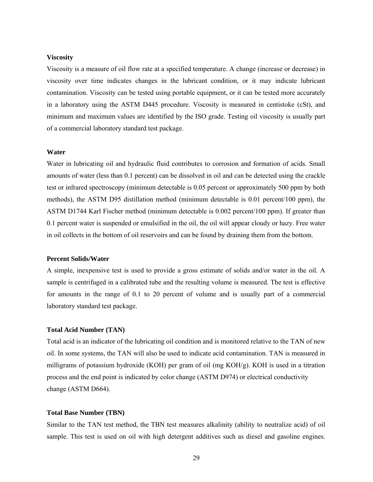# **Viscosity**

Viscosity is a measure of oil flow rate at a specified temperature. A change (increase or decrease) in viscosity over time indicates changes in the lubricant condition, or it may indicate lubricant contamination. Viscosity can be tested using portable equipment, or it can be tested more accurately in a laboratory using the ASTM D445 procedure. Viscosity is measured in centistoke (cSt), and minimum and maximum values are identified by the ISO grade. Testing oil viscosity is usually part of a commercial laboratory standard test package.

## **Water**

Water in lubricating oil and hydraulic fluid contributes to corrosion and formation of acids. Small amounts of water (less than 0.1 percent) can be dissolved in oil and can be detected using the crackle test or infrared spectroscopy (minimum detectable is 0.05 percent or approximately 500 ppm by both methods), the ASTM D95 distillation method (minimum detectable is 0.01 percent/100 ppm), the ASTM D1744 Karl Fischer method (minimum detectable is 0.002 percent/100 ppm). If greater than 0.1 percent water is suspended or emulsified in the oil, the oil will appear cloudy or hazy. Free water in oil collects in the bottom of oil reservoirs and can be found by draining them from the bottom.

#### **Percent Solids/Water**

A simple, inexpensive test is used to provide a gross estimate of solids and/or water in the oil. A sample is centrifuged in a calibrated tube and the resulting volume is measured. The test is effective for amounts in the range of 0.1 to 20 percent of volume and is usually part of a commercial laboratory standard test package.

### **Total Acid Number (TAN)**

Total acid is an indicator of the lubricating oil condition and is monitored relative to the TAN of new oil. In some systems, the TAN will also be used to indicate acid contamination. TAN is measured in milligrams of potassium hydroxide (KOH) per gram of oil (mg KOH/g). KOH is used in a titration process and the end point is indicated by color change (ASTM D974) or electrical conductivity change (ASTM D664).

#### **Total Base Number (TBN)**

Similar to the TAN test method, the TBN test measures alkalinity (ability to neutralize acid) of oil sample. This test is used on oil with high detergent additives such as diesel and gasoline engines.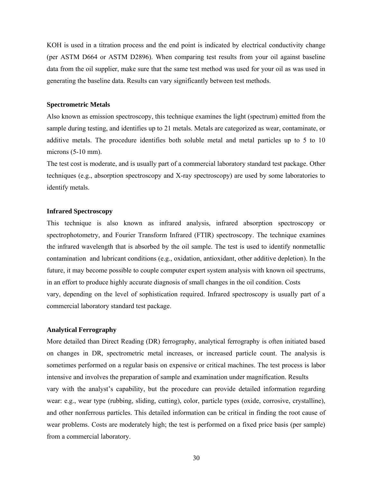KOH is used in a titration process and the end point is indicated by electrical conductivity change (per ASTM D664 or ASTM D2896). When comparing test results from your oil against baseline data from the oil supplier, make sure that the same test method was used for your oil as was used in generating the baseline data. Results can vary significantly between test methods.

#### **Spectrometric Metals**

Also known as emission spectroscopy, this technique examines the light (spectrum) emitted from the sample during testing, and identifies up to 21 metals. Metals are categorized as wear, contaminate, or additive metals. The procedure identifies both soluble metal and metal particles up to 5 to 10 microns (5-10 mm).

The test cost is moderate, and is usually part of a commercial laboratory standard test package. Other techniques (e.g., absorption spectroscopy and X-ray spectroscopy) are used by some laboratories to identify metals.

#### **Infrared Spectroscopy**

This technique is also known as infrared analysis, infrared absorption spectroscopy or spectrophotometry, and Fourier Transform Infrared (FTIR) spectroscopy. The technique examines the infrared wavelength that is absorbed by the oil sample. The test is used to identify nonmetallic contamination and lubricant conditions (e.g., oxidation, antioxidant, other additive depletion). In the future, it may become possible to couple computer expert system analysis with known oil spectrums, in an effort to produce highly accurate diagnosis of small changes in the oil condition. Costs vary, depending on the level of sophistication required. Infrared spectroscopy is usually part of a commercial laboratory standard test package.

# **Analytical Ferrography**

More detailed than Direct Reading (DR) ferrography, analytical ferrography is often initiated based on changes in DR, spectrometric metal increases, or increased particle count. The analysis is sometimes performed on a regular basis on expensive or critical machines. The test process is labor intensive and involves the preparation of sample and examination under magnification. Results vary with the analyst's capability, but the procedure can provide detailed information regarding wear: e.g., wear type (rubbing, sliding, cutting), color, particle types (oxide, corrosive, crystalline), and other nonferrous particles. This detailed information can be critical in finding the root cause of wear problems. Costs are moderately high; the test is performed on a fixed price basis (per sample) from a commercial laboratory.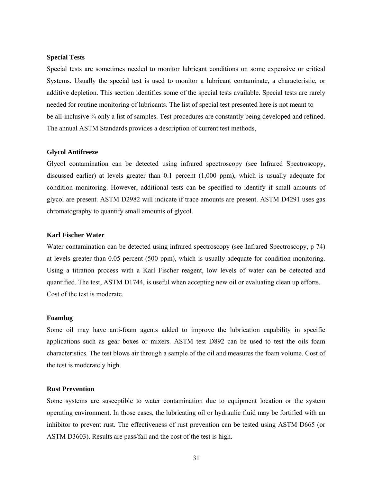#### **Special Tests**

Special tests are sometimes needed to monitor lubricant conditions on some expensive or critical Systems. Usually the special test is used to monitor a lubricant contaminate, a characteristic, or additive depletion. This section identifies some of the special tests available. Special tests are rarely needed for routine monitoring of lubricants. The list of special test presented here is not meant to be all-inclusive  $\frac{3}{4}$  only a list of samples. Test procedures are constantly being developed and refined. The annual ASTM Standards provides a description of current test methods,

### **Glycol Antifreeze**

Glycol contamination can be detected using infrared spectroscopy (see Infrared Spectroscopy, discussed earlier) at levels greater than 0.1 percent (1,000 ppm), which is usually adequate for condition monitoring. However, additional tests can be specified to identify if small amounts of glycol are present. ASTM D2982 will indicate if trace amounts are present. ASTM D4291 uses gas chromatography to quantify small amounts of glycol.

## **Karl Fischer Water**

Water contamination can be detected using infrared spectroscopy (see Infrared Spectroscopy, p 74) at levels greater than 0.05 percent (500 ppm), which is usually adequate for condition monitoring. Using a titration process with a Karl Fischer reagent, low levels of water can be detected and quantified. The test, ASTM D1744, is useful when accepting new oil or evaluating clean up efforts. Cost of the test is moderate.

#### **Foamlug**

Some oil may have anti-foam agents added to improve the lubrication capability in specific applications such as gear boxes or mixers. ASTM test D892 can be used to test the oils foam characteristics. The test blows air through a sample of the oil and measures the foam volume. Cost of the test is moderately high.

# **Rust Prevention**

Some systems are susceptible to water contamination due to equipment location or the system operating environment. In those cases, the lubricating oil or hydraulic fluid may be fortified with an inhibitor to prevent rust. The effectiveness of rust prevention can be tested using ASTM D665 (or ASTM D3603). Results are pass/fail and the cost of the test is high.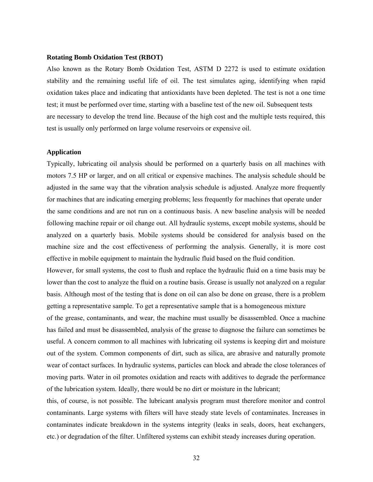#### **Rotating Bomb Oxidation Test (RBOT)**

Also known as the Rotary Bomb Oxidation Test, ASTM D 2272 is used to estimate oxidation stability and the remaining useful life of oil. The test simulates aging, identifying when rapid oxidation takes place and indicating that antioxidants have been depleted. The test is not a one time test; it must be performed over time, starting with a baseline test of the new oil. Subsequent tests are necessary to develop the trend line. Because of the high cost and the multiple tests required, this test is usually only performed on large volume reservoirs or expensive oil.

### **Application**

Typically, lubricating oil analysis should be performed on a quarterly basis on all machines with motors 7.5 HP or larger, and on all critical or expensive machines. The analysis schedule should be adjusted in the same way that the vibration analysis schedule is adjusted. Analyze more frequently for machines that are indicating emerging problems; less frequently for machines that operate under the same conditions and are not run on a continuous basis. A new baseline analysis will be needed following machine repair or oil change out. All hydraulic systems, except mobile systems, should be analyzed on a quarterly basis. Mobile systems should be considered for analysis based on the machine size and the cost effectiveness of performing the analysis. Generally, it is more cost effective in mobile equipment to maintain the hydraulic fluid based on the fluid condition.

However, for small systems, the cost to flush and replace the hydraulic fluid on a time basis may be lower than the cost to analyze the fluid on a routine basis. Grease is usually not analyzed on a regular basis. Although most of the testing that is done on oil can also be done on grease, there is a problem getting a representative sample. To get a representative sample that is a homogeneous mixture

of the grease, contaminants, and wear, the machine must usually be disassembled. Once a machine has failed and must be disassembled, analysis of the grease to diagnose the failure can sometimes be useful. A concern common to all machines with lubricating oil systems is keeping dirt and moisture out of the system. Common components of dirt, such as silica, are abrasive and naturally promote wear of contact surfaces. In hydraulic systems, particles can block and abrade the close tolerances of moving parts. Water in oil promotes oxidation and reacts with additives to degrade the performance of the lubrication system. Ideally, there would be no dirt or moisture in the lubricant;

this, of course, is not possible. The lubricant analysis program must therefore monitor and control contaminants. Large systems with filters will have steady state levels of contaminates. Increases in contaminates indicate breakdown in the systems integrity (leaks in seals, doors, heat exchangers, etc.) or degradation of the filter. Unfiltered systems can exhibit steady increases during operation.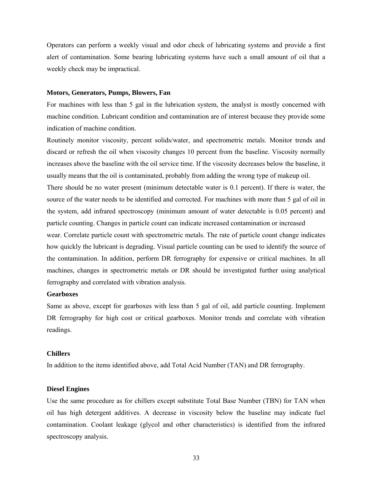Operators can perform a weekly visual and odor check of lubricating systems and provide a first alert of contamination. Some bearing lubricating systems have such a small amount of oil that a weekly check may be impractical.

#### **Motors, Generators, Pumps, Blowers, Fan**

For machines with less than 5 gal in the lubrication system, the analyst is mostly concerned with machine condition. Lubricant condition and contamination are of interest because they provide some indication of machine condition.

Routinely monitor viscosity, percent solids/water, and spectrometric metals. Monitor trends and discard or refresh the oil when viscosity changes 10 percent from the baseline. Viscosity normally increases above the baseline with the oil service time. If the viscosity decreases below the baseline, it usually means that the oil is contaminated, probably from adding the wrong type of makeup oil. There should be no water present (minimum detectable water is 0.1 percent). If there is water, the source of the water needs to be identified and corrected. For machines with more than 5 gal of oil in the system, add infrared spectroscopy (minimum amount of water detectable is 0.05 percent) and particle counting. Changes in particle count can indicate increased contamination or increased wear. Correlate particle count with spectrometric metals. The rate of particle count change indicates how quickly the lubricant is degrading. Visual particle counting can be used to identify the source of the contamination. In addition, perform DR ferrography for expensive or critical machines. In all machines, changes in spectrometric metals or DR should be investigated further using analytical ferrography and correlated with vibration analysis.

# **Gearboxes**

Same as above, except for gearboxes with less than 5 gal of oil, add particle counting. Implement DR ferrography for high cost or critical gearboxes. Monitor trends and correlate with vibration readings.

#### **Chillers**

In addition to the items identified above, add Total Acid Number (TAN) and DR ferrography.

#### **Diesel Engines**

Use the same procedure as for chillers except substitute Total Base Number (TBN) for TAN when oil has high detergent additives. A decrease in viscosity below the baseline may indicate fuel contamination. Coolant leakage (glycol and other characteristics) is identified from the infrared spectroscopy analysis.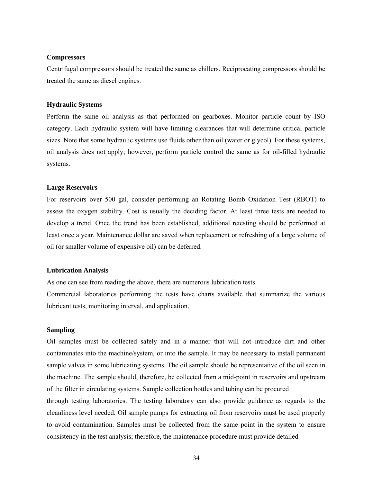### **Compressors**

Centrifugal compressors should be treated the same as chillers. Reciprocating compressors should be treated the same as diesel engines.

### **Hydraulic Systems**

Perform the same oil analysis as that performed on gearboxes. Monitor particle count by ISO category. Each hydraulic system will have limiting clearances that will determine critical particle sizes. Note that some hydraulic systems use fluids other than oil (water or glycol). For these systems, oil analysis does not apply; however, perform particle control the same as for oil-filled hydraulic systems.

#### **Large Reservoirs**

For reservoirs over 500 gal, consider performing an Rotating Bomb Oxidation Test (RBOT) to assess the oxygen stability. Cost is usually the deciding factor. At least three tests are needed to develop a trend. Once the trend has been established, additional retesting should be performed at least once a year. Maintenance dollar are saved when replacement or refreshing of a large volume of oil (or smaller volume of expensive oil) can be deferred.

#### **Lubrication Analysis**

As one can see from reading the above, there are numerous lubrication tests.

Commercial laboratories performing the tests have charts available that summarize the various lubricant tests, monitoring interval, and application.

### **Sampling**

Oil samples must be collected safely and in a manner that will not introduce dirt and other contaminates into the machine/system, or into the sample. It may be necessary to install permanent sample valves in some lubricating systems. The oil sample should be representative of the oil seen in the machine. The sample should, therefore, be collected from a mid-point in reservoirs and upstream of the filter in circulating systems. Sample collection bottles and tubing can be procured through testing laboratories. The testing laboratory can also provide guidance as regards to the cleanliness level needed. Oil sample pumps for extracting oil from reservoirs must be used properly to avoid contamination. Samples must be collected from the same point in the system to ensure consistency in the test analysis; therefore, the maintenance procedure must provide detailed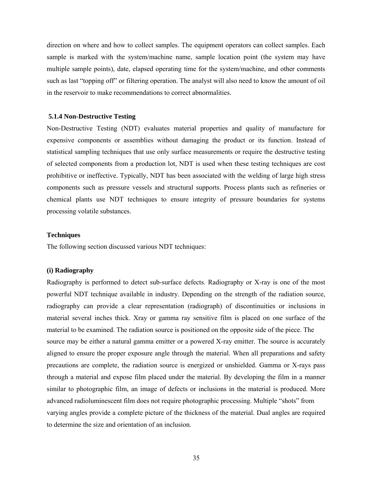direction on where and how to collect samples. The equipment operators can collect samples. Each sample is marked with the system/machine name, sample location point (the system may have multiple sample points), date, elapsed operating time for the system/machine, and other comments such as last "topping off" or filtering operation. The analyst will also need to know the amount of oil in the reservoir to make recommendations to correct abnormalities.

#### **5.1.4 Non-Destructive Testing**

Non-Destructive Testing (NDT) evaluates material properties and quality of manufacture for expensive components or assemblies without damaging the product or its function. Instead of statistical sampling techniques that use only surface measurements or require the destructive testing of selected components from a production lot, NDT is used when these testing techniques are cost prohibitive or ineffective. Typically, NDT has been associated with the welding of large high stress components such as pressure vessels and structural supports. Process plants such as refineries or chemical plants use NDT techniques to ensure integrity of pressure boundaries for systems processing volatile substances.

# **Techniques**

The following section discussed various NDT techniques:

# **(i) Radiography**

Radiography is performed to detect sub-surface defects. Radiography or X-ray is one of the most powerful NDT technique available in industry. Depending on the strength of the radiation source, radiography can provide a clear representation (radiograph) of discontinuities or inclusions in material several inches thick. Xray or gamma ray sensitive film is placed on one surface of the material to be examined. The radiation source is positioned on the opposite side of the piece. The source may be either a natural gamma emitter or a powered X-ray emitter. The source is accurately aligned to ensure the proper exposure angle through the material. When all preparations and safety precautions are complete, the radiation source is energized or unshielded. Gamma or X-rays pass through a material and expose film placed under the material. By developing the film in a manner similar to photographic film, an image of defects or inclusions in the material is produced. More advanced radioluminescent film does not require photographic processing. Multiple "shots" from varying angles provide a complete picture of the thickness of the material. Dual angles are required to determine the size and orientation of an inclusion.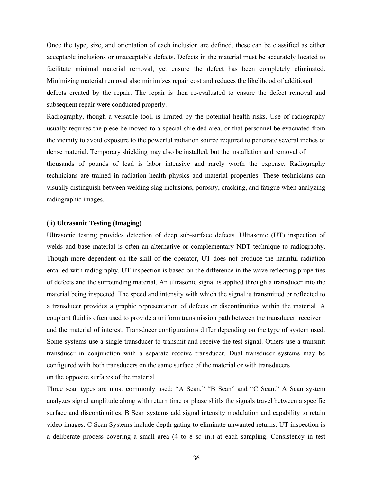Once the type, size, and orientation of each inclusion are defined, these can be classified as either acceptable inclusions or unacceptable defects. Defects in the material must be accurately located to facilitate minimal material removal, yet ensure the defect has been completely eliminated. Minimizing material removal also minimizes repair cost and reduces the likelihood of additional defects created by the repair. The repair is then re-evaluated to ensure the defect removal and subsequent repair were conducted properly.

Radiography, though a versatile tool, is limited by the potential health risks. Use of radiography usually requires the piece be moved to a special shielded area, or that personnel be evacuated from the vicinity to avoid exposure to the powerful radiation source required to penetrate several inches of dense material. Temporary shielding may also be installed, but the installation and removal of thousands of pounds of lead is labor intensive and rarely worth the expense. Radiography technicians are trained in radiation health physics and material properties. These technicians can visually distinguish between welding slag inclusions, porosity, cracking, and fatigue when analyzing radiographic images.

#### **(ii) Ultrasonic Testing (Imaging)**

Ultrasonic testing provides detection of deep sub-surface defects. Ultrasonic (UT) inspection of welds and base material is often an alternative or complementary NDT technique to radiography. Though more dependent on the skill of the operator, UT does not produce the harmful radiation entailed with radiography. UT inspection is based on the difference in the wave reflecting properties of defects and the surrounding material. An ultrasonic signal is applied through a transducer into the material being inspected. The speed and intensity with which the signal is transmitted or reflected to a transducer provides a graphic representation of defects or discontinuities within the material. A couplant fluid is often used to provide a uniform transmission path between the transducer, receiver and the material of interest. Transducer configurations differ depending on the type of system used. Some systems use a single transducer to transmit and receive the test signal. Others use a transmit transducer in conjunction with a separate receive transducer. Dual transducer systems may be configured with both transducers on the same surface of the material or with transducers on the opposite surfaces of the material.

Three scan types are most commonly used: "A Scan," "B Scan" and "C Scan." A Scan system analyzes signal amplitude along with return time or phase shifts the signals travel between a specific surface and discontinuities. B Scan systems add signal intensity modulation and capability to retain video images. C Scan Systems include depth gating to eliminate unwanted returns. UT inspection is a deliberate process covering a small area (4 to 8 sq in.) at each sampling. Consistency in test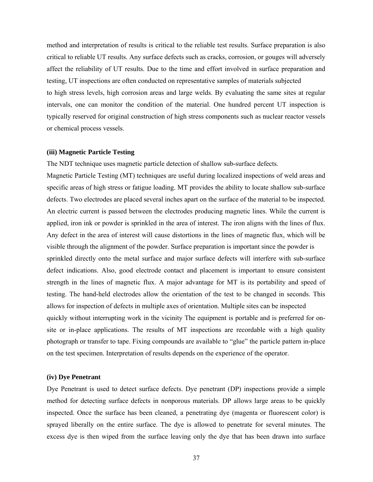method and interpretation of results is critical to the reliable test results. Surface preparation is also critical to reliable UT results. Any surface defects such as cracks, corrosion, or gouges will adversely affect the reliability of UT results. Due to the time and effort involved in surface preparation and testing, UT inspections are often conducted on representative samples of materials subjected to high stress levels, high corrosion areas and large welds. By evaluating the same sites at regular intervals, one can monitor the condition of the material. One hundred percent UT inspection is typically reserved for original construction of high stress components such as nuclear reactor vessels or chemical process vessels.

### **(iii) Magnetic Particle Testing**

The NDT technique uses magnetic particle detection of shallow sub-surface defects. Magnetic Particle Testing (MT) techniques are useful during localized inspections of weld areas and

specific areas of high stress or fatigue loading. MT provides the ability to locate shallow sub-surface defects. Two electrodes are placed several inches apart on the surface of the material to be inspected. An electric current is passed between the electrodes producing magnetic lines. While the current is applied, iron ink or powder is sprinkled in the area of interest. The iron aligns with the lines of flux. Any defect in the area of interest will cause distortions in the lines of magnetic flux, which will be visible through the alignment of the powder. Surface preparation is important since the powder is sprinkled directly onto the metal surface and major surface defects will interfere with sub-surface defect indications. Also, good electrode contact and placement is important to ensure consistent strength in the lines of magnetic flux. A major advantage for MT is its portability and speed of testing. The hand-held electrodes allow the orientation of the test to be changed in seconds. This allows for inspection of defects in multiple axes of orientation. Multiple sites can be inspected quickly without interrupting work in the vicinity The equipment is portable and is preferred for onsite or in-place applications. The results of MT inspections are recordable with a high quality photograph or transfer to tape. Fixing compounds are available to "glue" the particle pattern in-place on the test specimen. Interpretation of results depends on the experience of the operator.

# **(iv) Dye Penetrant**

Dye Penetrant is used to detect surface defects. Dye penetrant (DP) inspections provide a simple method for detecting surface defects in nonporous materials. DP allows large areas to be quickly inspected. Once the surface has been cleaned, a penetrating dye (magenta or fluorescent color) is sprayed liberally on the entire surface. The dye is allowed to penetrate for several minutes. The excess dye is then wiped from the surface leaving only the dye that has been drawn into surface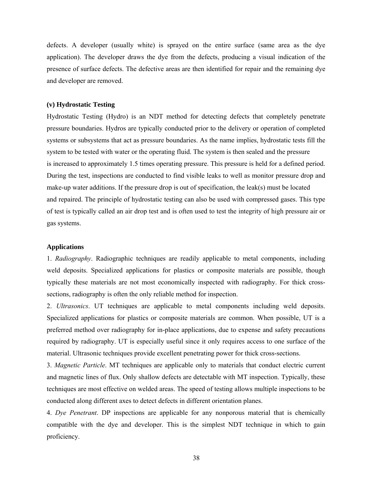defects. A developer (usually white) is sprayed on the entire surface (same area as the dye application). The developer draws the dye from the defects, producing a visual indication of the presence of surface defects. The defective areas are then identified for repair and the remaining dye and developer are removed.

#### **(v) Hydrostatic Testing**

Hydrostatic Testing (Hydro) is an NDT method for detecting defects that completely penetrate pressure boundaries. Hydros are typically conducted prior to the delivery or operation of completed systems or subsystems that act as pressure boundaries. As the name implies, hydrostatic tests fill the system to be tested with water or the operating fluid. The system is then sealed and the pressure is increased to approximately 1.5 times operating pressure. This pressure is held for a defined period. During the test, inspections are conducted to find visible leaks to well as monitor pressure drop and make-up water additions. If the pressure drop is out of specification, the leak(s) must be located and repaired. The principle of hydrostatic testing can also be used with compressed gases. This type of test is typically called an air drop test and is often used to test the integrity of high pressure air or gas systems.

### **Applications**

1. *Radiography*. Radiographic techniques are readily applicable to metal components, including weld deposits. Specialized applications for plastics or composite materials are possible, though typically these materials are not most economically inspected with radiography. For thick crosssections, radiography is often the only reliable method for inspection.

2. *Ultrasonics*. UT techniques are applicable to metal components including weld deposits. Specialized applications for plastics or composite materials are common. When possible, UT is a preferred method over radiography for in-place applications, due to expense and safety precautions required by radiography. UT is especially useful since it only requires access to one surface of the material. Ultrasonic techniques provide excellent penetrating power for thick cross-sections.

3. *Magnetic Particle*. MT techniques are applicable only to materials that conduct electric current and magnetic lines of flux. Only shallow defects are detectable with MT inspection. Typically, these techniques are most effective on welded areas. The speed of testing allows multiple inspections to be conducted along different axes to detect defects in different orientation planes.

4. *Dye Penetrant*. DP inspections are applicable for any nonporous material that is chemically compatible with the dye and developer. This is the simplest NDT technique in which to gain proficiency.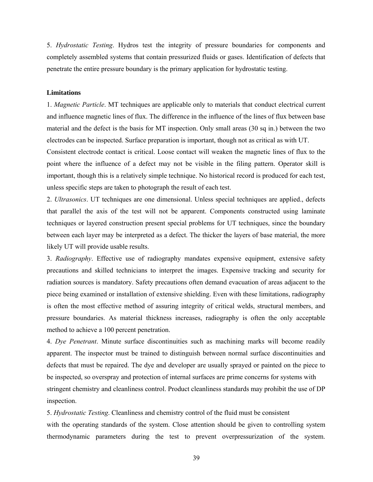5. *Hydrostatic Testing*. Hydros test the integrity of pressure boundaries for components and completely assembled systems that contain pressurized fluids or gases. Identification of defects that penetrate the entire pressure boundary is the primary application for hydrostatic testing.

### **Limitations**

1. *Magnetic Particle*. MT techniques are applicable only to materials that conduct electrical current and influence magnetic lines of flux. The difference in the influence of the lines of flux between base material and the defect is the basis for MT inspection. Only small areas (30 sq in.) between the two electrodes can be inspected. Surface preparation is important, though not as critical as with UT.

Consistent electrode contact is critical. Loose contact will weaken the magnetic lines of flux to the point where the influence of a defect may not be visible in the filing pattern. Operator skill is important, though this is a relatively simple technique. No historical record is produced for each test, unless specific steps are taken to photograph the result of each test.

2. *Ultrasonics*. UT techniques are one dimensional. Unless special techniques are applied., defects that parallel the axis of the test will not be apparent. Components constructed using laminate techniques or layered construction present special problems for UT techniques, since the boundary between each layer may be interpreted as a defect. The thicker the layers of base material, the more likely UT will provide usable results.

3. *Radiography*. Effective use of radiography mandates expensive equipment, extensive safety precautions and skilled technicians to interpret the images. Expensive tracking and security for radiation sources is mandatory. Safety precautions often demand evacuation of areas adjacent to the piece being examined or installation of extensive shielding. Even with these limitations, radiography is often the most effective method of assuring integrity of critical welds, structural members, and pressure boundaries. As material thickness increases, radiography is often the only acceptable method to achieve a 100 percent penetration.

4. *Dye Penetrant*. Minute surface discontinuities such as machining marks will become readily apparent. The inspector must be trained to distinguish between normal surface discontinuities and defects that must be repaired. The dye and developer are usually sprayed or painted on the piece to be inspected, so overspray and protection of internal surfaces are prime concerns for systems with stringent chemistry and cleanliness control. Product cleanliness standards may prohibit the use of DP inspection.

5. *Hydrostatic Testing*. Cleanliness and chemistry control of the fluid must be consistent with the operating standards of the system. Close attention should be given to controlling system thermodynamic parameters during the test to prevent overpressurization of the system.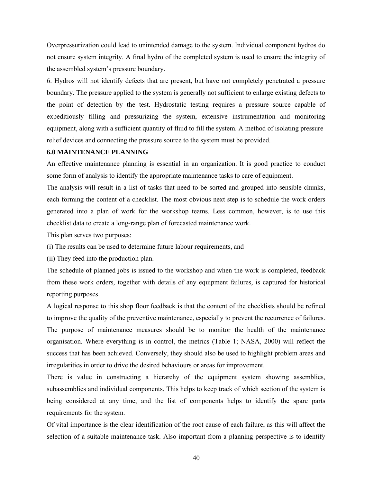Overpressurization could lead to unintended damage to the system. Individual component hydros do not ensure system integrity. A final hydro of the completed system is used to ensure the integrity of the assembled system's pressure boundary.

6. Hydros will not identify defects that are present, but have not completely penetrated a pressure boundary. The pressure applied to the system is generally not sufficient to enlarge existing defects to the point of detection by the test. Hydrostatic testing requires a pressure source capable of expeditiously filling and pressurizing the system, extensive instrumentation and monitoring equipment, along with a sufficient quantity of fluid to fill the system. A method of isolating pressure relief devices and connecting the pressure source to the system must be provided.

# **6.0 MAINTENANCE PLANNING**

An effective maintenance planning is essential in an organization. It is good practice to conduct some form of analysis to identify the appropriate maintenance tasks to care of equipment.

The analysis will result in a list of tasks that need to be sorted and grouped into sensible chunks, each forming the content of a checklist. The most obvious next step is to schedule the work orders generated into a plan of work for the workshop teams. Less common, however, is to use this checklist data to create a long-range plan of forecasted maintenance work.

This plan serves two purposes:

(i) The results can be used to determine future labour requirements, and

(ii) They feed into the production plan.

The schedule of planned jobs is issued to the workshop and when the work is completed, feedback from these work orders, together with details of any equipment failures, is captured for historical reporting purposes.

A logical response to this shop floor feedback is that the content of the checklists should be refined to improve the quality of the preventive maintenance, especially to prevent the recurrence of failures. The purpose of maintenance measures should be to monitor the health of the maintenance organisation. Where everything is in control, the metrics (Table 1; NASA, 2000) will reflect the success that has been achieved. Conversely, they should also be used to highlight problem areas and irregularities in order to drive the desired behaviours or areas for improvement.

There is value in constructing a hierarchy of the equipment system showing assemblies, subassemblies and individual components. This helps to keep track of which section of the system is being considered at any time, and the list of components helps to identify the spare parts requirements for the system.

Of vital importance is the clear identification of the root cause of each failure, as this will affect the selection of a suitable maintenance task. Also important from a planning perspective is to identify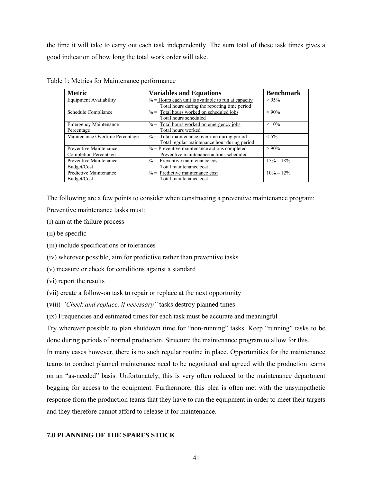the time it will take to carry out each task independently. The sum total of these task times gives a good indication of how long the total work order will take.

| <b>Metric</b>                   | <b>Variables and Equations</b>                         | <b>Benchmark</b> |
|---------------------------------|--------------------------------------------------------|------------------|
| <b>Equipment Availability</b>   | $\%$ = Hours each unit is available to run at capacity | >95%             |
|                                 | Total hours during the reporting time period           |                  |
| Schedule Compliance             | $%$ = Total hours worked on scheduled jobs             | $> 90\%$         |
|                                 | Total hours scheduled                                  |                  |
| <b>Emergency Maintenance</b>    | $%$ = Total hours worked on emergency jobs             | $< 10\%$         |
| Percentage                      | Total hours worked                                     |                  |
| Maintenance Overtime Percentage | $% =$ Total maintenance overtime during period         | $< 5\%$          |
|                                 | Total regular maintenance hour during period           |                  |
| Preventive Maintenance          | $%$ = Preventive maintenance actions completed         | $>90\%$          |
| Completion Percentage           | Preventive maintenance actions scheduled               |                  |
| Preventive Maintenance          | $\%$ = Preventive maintenance cost                     | $15\% - 18\%$    |
| Budget/Cost                     | Total maintenance cost                                 |                  |
| Predictive Maintenance          | $\%$ = Predictive maintenance cost                     | $10\% - 12\%$    |
| Budget/Cost                     | Total maintenance cost                                 |                  |

Table 1: Metrics for Maintenance performance

The following are a few points to consider when constructing a preventive maintenance program: Preventive maintenance tasks must:

(i) aim at the failure process

(ii) be specific

(iii) include specifications or tolerances

(iv) wherever possible, aim for predictive rather than preventive tasks

(v) measure or check for conditions against a standard

(vi) report the results

(vii) create a follow-on task to repair or replace at the next opportunity

(viii) *"Check and replace, if necessary"* tasks destroy planned times

(ix) Frequencies and estimated times for each task must be accurate and meaningful

Try wherever possible to plan shutdown time for "non-running" tasks. Keep "running" tasks to be done during periods of normal production. Structure the maintenance program to allow for this.

In many cases however, there is no such regular routine in place. Opportunities for the maintenance teams to conduct planned maintenance need to be negotiated and agreed with the production teams on an "as-needed" basis. Unfortunately, this is very often reduced to the maintenance department begging for access to the equipment. Furthermore, this plea is often met with the unsympathetic response from the production teams that they have to run the equipment in order to meet their targets and they therefore cannot afford to release it for maintenance.

# **7.0 PLANNING OF THE SPARES STOCK**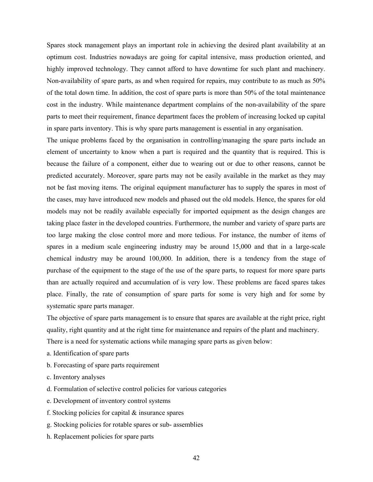Spares stock management plays an important role in achieving the desired plant availability at an optimum cost. Industries nowadays are going for capital intensive, mass production oriented, and highly improved technology. They cannot afford to have downtime for such plant and machinery. Non-availability of spare parts, as and when required for repairs, may contribute to as much as 50% of the total down time. In addition, the cost of spare parts is more than 50% of the total maintenance cost in the industry. While maintenance department complains of the non-availability of the spare parts to meet their requirement, finance department faces the problem of increasing locked up capital in spare parts inventory. This is why spare parts management is essential in any organisation.

The unique problems faced by the organisation in controlling/managing the spare parts include an element of uncertainty to know when a part is required and the quantity that is required. This is because the failure of a component, either due to wearing out or due to other reasons, cannot be predicted accurately. Moreover, spare parts may not be easily available in the market as they may not be fast moving items. The original equipment manufacturer has to supply the spares in most of the cases, may have introduced new models and phased out the old models. Hence, the spares for old models may not be readily available especially for imported equipment as the design changes are taking place faster in the developed countries. Furthermore, the number and variety of spare parts are too large making the close control more and more tedious. For instance, the number of items of spares in a medium scale engineering industry may be around 15,000 and that in a large-scale chemical industry may be around 100,000. In addition, there is a tendency from the stage of purchase of the equipment to the stage of the use of the spare parts, to request for more spare parts than are actually required and accumulation of is very low. These problems are faced spares takes place. Finally, the rate of consumption of spare parts for some is very high and for some by systematic spare parts manager.

The objective of spare parts management is to ensure that spares are available at the right price, right quality, right quantity and at the right time for maintenance and repairs of the plant and machinery. There is a need for systematic actions while managing spare parts as given below:

- a. Identification of spare parts
- b. Forecasting of spare parts requirement
- c. Inventory analyses
- d. Formulation of selective control policies for various categories
- e. Development of inventory control systems
- f. Stocking policies for capital & insurance spares
- g. Stocking policies for rotable spares or sub- assemblies
- h. Replacement policies for spare parts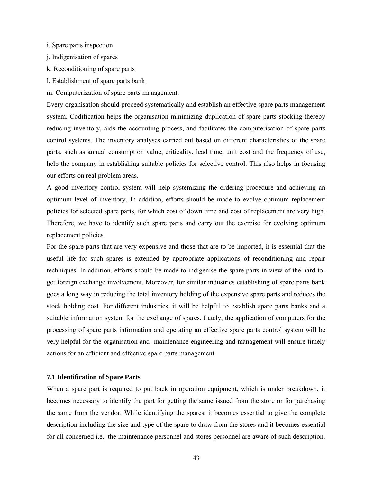i. Spare parts inspection

- j. Indigenisation of spares
- k. Reconditioning of spare parts
- l. Establishment of spare parts bank
- m. Computerization of spare parts management.

Every organisation should proceed systematically and establish an effective spare parts management system. Codification helps the organisation minimizing duplication of spare parts stocking thereby reducing inventory, aids the accounting process, and facilitates the computerisation of spare parts control systems. The inventory analyses carried out based on different characteristics of the spare parts, such as annual consumption value, criticality, lead time, unit cost and the frequency of use, help the company in establishing suitable policies for selective control. This also helps in focusing our efforts on real problem areas.

A good inventory control system will help systemizing the ordering procedure and achieving an optimum level of inventory. In addition, efforts should be made to evolve optimum replacement policies for selected spare parts, for which cost of down time and cost of replacement are very high. Therefore, we have to identify such spare parts and carry out the exercise for evolving optimum replacement policies.

For the spare parts that are very expensive and those that are to be imported, it is essential that the useful life for such spares is extended by appropriate applications of reconditioning and repair techniques. In addition, efforts should be made to indigenise the spare parts in view of the hard-toget foreign exchange involvement. Moreover, for similar industries establishing of spare parts bank goes a long way in reducing the total inventory holding of the expensive spare parts and reduces the stock holding cost. For different industries, it will be helpful to establish spare parts banks and a suitable information system for the exchange of spares. Lately, the application of computers for the processing of spare parts information and operating an effective spare parts control system will be very helpful for the organisation and maintenance engineering and management will ensure timely actions for an efficient and effective spare parts management.

#### **7.1 Identification of Spare Parts**

When a spare part is required to put back in operation equipment, which is under breakdown, it becomes necessary to identify the part for getting the same issued from the store or for purchasing the same from the vendor. While identifying the spares, it becomes essential to give the complete description including the size and type of the spare to draw from the stores and it becomes essential for all concerned i.e., the maintenance personnel and stores personnel are aware of such description.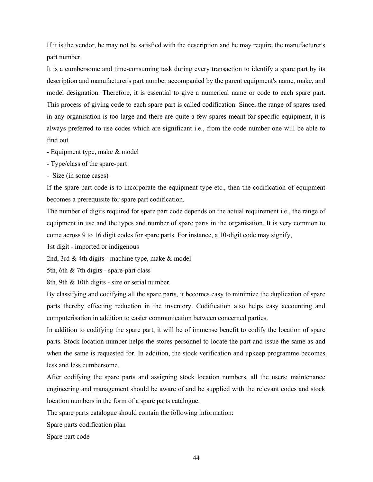If it is the vendor, he may not be satisfied with the description and he may require the manufacturer's part number.

It is a cumbersome and time-consuming task during every transaction to identify a spare part by its description and manufacturer's part number accompanied by the parent equipment's name, make, and model designation. Therefore, it is essential to give a numerical name or code to each spare part. This process of giving code to each spare part is called codification. Since, the range of spares used in any organisation is too large and there are quite a few spares meant for specific equipment, it is always preferred to use codes which are significant i.e., from the code number one will be able to find out

- Equipment type, make & model
- Type/class of the spare-part
- Size (in some cases)

If the spare part code is to incorporate the equipment type etc., then the codification of equipment becomes a prerequisite for spare part codification.

The number of digits required for spare part code depends on the actual requirement i.e., the range of equipment in use and the types and number of spare parts in the organisation. It is very common to come across 9 to 16 digit codes for spare parts. For instance, a 10-digit code may signify,

1st digit - imported or indigenous

2nd, 3rd & 4th digits - machine type, make & model

5th, 6th & 7th digits - spare-part class

8th, 9th & 10th digits - size or serial number.

By classifying and codifying all the spare parts, it becomes easy to minimize the duplication of spare parts thereby effecting reduction in the inventory. Codification also helps easy accounting and computerisation in addition to easier communication between concerned parties.

In addition to codifying the spare part, it will be of immense benefit to codify the location of spare parts. Stock location number helps the stores personnel to locate the part and issue the same as and when the same is requested for. In addition, the stock verification and upkeep programme becomes less and less cumbersome.

After codifying the spare parts and assigning stock location numbers, all the users: maintenance engineering and management should be aware of and be supplied with the relevant codes and stock location numbers in the form of a spare parts catalogue.

The spare parts catalogue should contain the following information:

Spare parts codification plan

Spare part code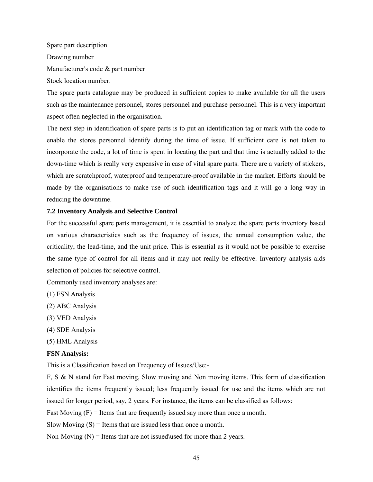Spare part description Drawing number Manufacturer's code & part number Stock location number.

The spare parts catalogue may be produced in sufficient copies to make available for all the users such as the maintenance personnel, stores personnel and purchase personnel. This is a very important aspect often neglected in the organisation.

The next step in identification of spare parts is to put an identification tag or mark with the code to enable the stores personnel identify during the time of issue. If sufficient care is not taken to incorporate the code, a lot of time is spent in locating the part and that time is actually added to the down-time which is really very expensive in case of vital spare parts. There are a variety of stickers, which are scratchproof, waterproof and temperature-proof available in the market. Efforts should be made by the organisations to make use of such identification tags and it will go a long way in reducing the downtime.

# **7.2 Inventory Analysis and Selective Control**

For the successful spare parts management, it is essential to analyze the spare parts inventory based on various characteristics such as the frequency of issues, the annual consumption value, the criticality, the lead-time, and the unit price. This is essential as it would not be possible to exercise the same type of control for all items and it may not really be effective. Inventory analysis aids selection of policies for selective control.

Commonly used inventory analyses are:

- (1) FSN Analysis
- (2) ABC Analysis
- (3) VED Analysis
- (4) SDE Analysis
- (5) HML Analysis

# **FSN Analysis:**

This is a Classification based on Frequency of Issues/Use:-

F, S & N stand for Fast moving, Slow moving and Non moving items. This form of classification identifies the items frequently issued; less frequently issued for use and the items which are not issued for longer period, say, 2 years. For instance, the items can be classified as follows:

Fast Moving  $(F)$  = Items that are frequently issued say more than once a month.

Slow Moving  $(S)$  = Items that are issued less than once a month.

Non-Moving  $(N)$  = Items that are not issued\used for more than 2 years.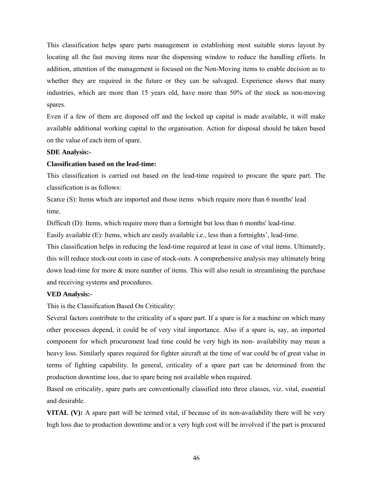This classification helps spare parts management in establishing most suitable stores layout by locating all the fast moving items near the dispensing window to reduce the handling efforts. In addition, attention of the management is focused on the Non-Moving items to enable decision as to whether they are required in the future or they can be salvaged. Experience shows that many industries, which are more than 15 years old, have more than 50% of the stock as non-moving spares.

Even if a few of them are disposed off and the locked up capital is made available, it will make available additional working capital to the organisation. Action for disposal should be taken based on the value of each item of spare.

#### **SDE Analysis:-**

# **Classification based on the lead-time:**

This classification is carried out based on the lead-time required to procure the spare part. The classification is as follows:

Scarce (S): Items which are imported and those items which require more than 6 months' lead time.

Difficult (D): Items, which require more than a fortnight but less than 6 months' lead-time.

Easily available (E): Items, which are easily available i.e., less than a fortnights', lead-time.

This classification helps in reducing the lead-time required at least in case of vital items. Ultimately, this will reduce stock-out costs in case of stock-outs. A comprehensive analysis may ultimately bring down lead-time for more & more number of items. This will also result in streamlining the purchase and receiving systems and procedures.

# **VED Analysis:-**

This is the Classification Based On Criticality:

Several factors contribute to the criticality of a spare part. If a spare is for a machine on which many other processes depend, it could be of very vital importance. Also if a spare is, say, an imported component for which procurement lead time could be very high its non- availability may mean a heavy loss. Similarly spares required for fighter aircraft at the time of war could be of great value in terms of fighting capability. In general, criticality of a spare part can be determined from the production downtime loss, due to spare being not available when required.

Based on criticality, spare parts are conventionally classified into three classes, viz. vital, essential and desirable.

**VITAL (V):** A spare part will be termed vital, if because of its non-availability there will be very high loss due to production downtime and/or a very high cost will be involved if the part is procured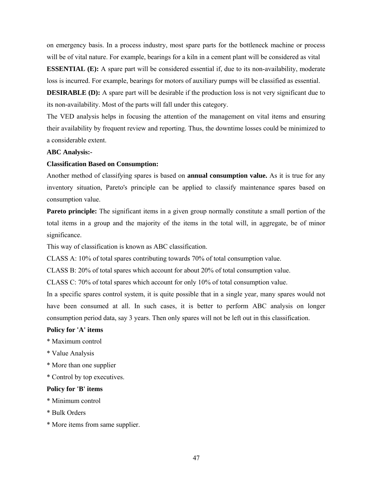on emergency basis. In a process industry, most spare parts for the bottleneck machine or process will be of vital nature. For example, bearings for a kiln in a cement plant will be considered as vital **ESSENTIAL (E):** A spare part will be considered essential if, due to its non-availability, moderate

loss is incurred. For example, bearings for motors of auxiliary pumps will be classified as essential.

**DESIRABLE (D):** A spare part will be desirable if the production loss is not very significant due to its non-availability. Most of the parts will fall under this category.

The VED analysis helps in focusing the attention of the management on vital items and ensuring their availability by frequent review and reporting. Thus, the downtime losses could be minimized to a considerable extent.

# **ABC Analysis:-**

# **Classification Based on Consumption:**

Another method of classifying spares is based on **annual consumption value.** As it is true for any inventory situation, Pareto's principle can be applied to classify maintenance spares based on consumption value.

**Pareto principle:** The significant items in a given group normally constitute a small portion of the total items in a group and the majority of the items in the total will, in aggregate, be of minor significance.

This way of classification is known as ABC classification.

CLASS A: 10% of total spares contributing towards 70% of total consumption value.

CLASS B: 20% of total spares which account for about 20% of total consumption value.

CLASS C: 70% of total spares which account for only 10% of total consumption value.

In a specific spares control system, it is quite possible that in a single year, many spares would not have been consumed at all. In such cases, it is better to perform ABC analysis on longer consumption period data, say 3 years. Then only spares will not be left out in this classification.

### **Policy for 'A' items**

- \* Maximum control
- \* Value Analysis
- \* More than one supplier
- \* Control by top executives.

### **Policy for 'B' items**

- \* Minimum control
- \* Bulk Orders
- \* More items from same supplier.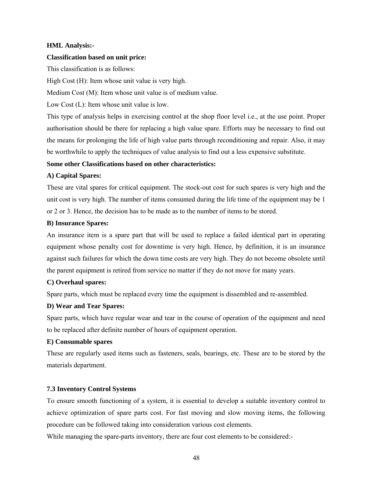# **HML Analysis:-**

## **Classification based on unit price:**

This classification is as follows:

High Cost (H): Item whose unit value is very high.

Medium Cost (M): Item whose unit value is of medium value.

Low Cost (L): Item whose unit value is low.

This type of analysis helps in exercising control at the shop floor level i.e., at the use point. Proper authorisation should be there for replacing a high value spare. Efforts may be necessary to find out the means for prolonging the life of high value parts through reconditioning and repair. Also, it may be worthwhile to apply the techniques of value analysis to find out a less expensive substitute.

# **Some other Classifications based on other characteristics:**

# **A) Capital Spares:**

These are vital spares for critical equipment. The stock-out cost for such spares is very high and the unit cost is very high. The number of items consumed during the life time of the equipment may be 1 or 2 or 3. Hence, the decision has to be made as to the number of items to be stored.

### **B) Insurance Spares:**

An insurance item is a spare part that will be used to replace a failed identical part in operating equipment whose penalty cost for downtime is very high. Hence, by definition, it is an insurance against such failures for which the down time costs are very high. They do not become obsolete until the parent equipment is retired from service no matter if they do not move for many years.

# **C) Overhaul spares:**

Spare parts, which must be replaced every time the equipment is dissembled and re-assembled.

### **D) Wear and Tear Spares:**

Spare parts, which have regular wear and tear in the course of operation of the equipment and need to be replaced after definite number of hours of equipment operation.

### **E) Consumable spares**

These are regularly used items such as fasteners, seals, bearings, etc. These are to be stored by the materials department.

### **7.3 Inventory Control Systems**

To ensure smooth functioning of a system, it is essential to develop a suitable inventory control to achieve optimization of spare parts cost. For fast moving and slow moving items, the following procedure can be followed taking into consideration various cost elements.

While managing the spare-parts inventory, there are four cost elements to be considered:-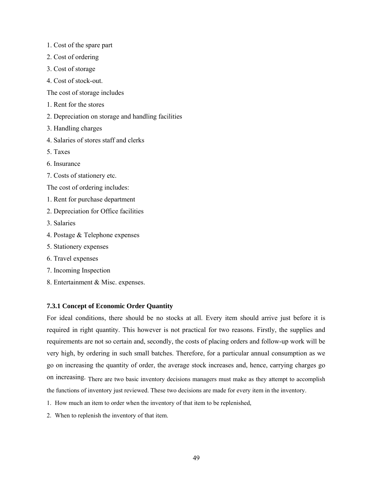- 1. Cost of the spare part
- 2. Cost of ordering
- 3. Cost of storage
- 4. Cost of stock-out.

The cost of storage includes

- 1. Rent for the stores
- 2. Depreciation on storage and handling facilities
- 3. Handling charges
- 4. Salaries of stores staff and clerks
- 5. Taxes
- 6. Insurance
- 7. Costs of stationery etc.
- The cost of ordering includes:
- 1. Rent for purchase department
- 2. Depreciation for Office facilities
- 3. Salaries
- 4. Postage & Telephone expenses
- 5. Stationery expenses
- 6. Travel expenses
- 7. Incoming Inspection
- 8. Entertainment & Misc. expenses.

# **7.3.1 Concept of Economic Order Quantity**

For ideal conditions, there should be no stocks at all. Every item should arrive just before it is required in right quantity. This however is not practical for two reasons. Firstly, the supplies and requirements are not so certain and, secondly, the costs of placing orders and follow-up work will be very high, by ordering in such small batches. Therefore, for a particular annual consumption as we go on increasing the quantity of order, the average stock increases and, hence, carrying charges go on increasing. There are two basic inventory decisions managers must make as they attempt to accomplish the functions of inventory just reviewed. These two decisions are made for every item in the inventory.

- 1. How much an item to order when the inventory of that item to be replenished,
- 2. When to replenish the inventory of that item.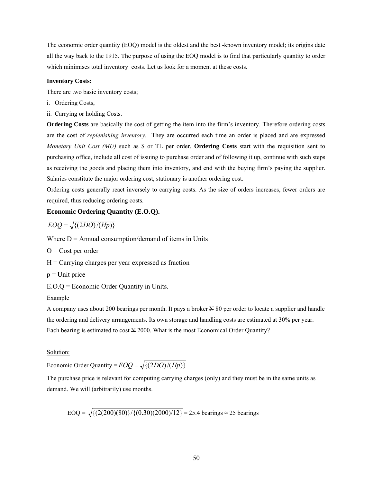The economic order quantity (EOQ) model is the oldest and the best -known inventory model; its origins date all the way back to the 1915. The purpose of using the EOQ model is to find that particularly quantity to order which minimises total inventory costs. Let us look for a moment at these costs.

#### **Inventory Costs:**

There are two basic inventory costs;

- i. Ordering Costs,
- ii. Carrying or holding Costs.

**Ordering Costs** are basically the cost of getting the item into the firm's inventory. Therefore ordering costs are the cost of *replenishing inventory*. They are occurred each time an order is placed and are expressed *Monetary Unit Cost (MU)* such as \$ or TL per order. **Ordering Costs** start with the requisition sent to purchasing office, include all cost of issuing to purchase order and of following it up, continue with such steps as receiving the goods and placing them into inventory, and end with the buying firm's paying the supplier. Salaries constitute the major ordering cost, stationary is another ordering cost.

Ordering costs generally react inversely to carrying costs. As the size of orders increases, fewer orders are required, thus reducing ordering costs.

## **Economic Ordering Quantity (E.O.Q).**

$$
EOQ = \sqrt{\{(2DO)/(Hp)\}}
$$

Where  $D =$  Annual consumption/demand of items in Units

- $O = Cost$  per order
- $H =$ Carrying charges per year expressed as fraction
- $p =$ Unit price
- E.O.Q = Economic Order Quantity in Units.

#### Example

A company uses about 200 bearings per month. It pays a broker  $\cancel{\text{H}}$  80 per order to locate a supplier and handle the ordering and delivery arrangements. Its own storage and handling costs are estimated at 30% per year. Each bearing is estimated to cost N 2000. What is the most Economical Order Quantity?

#### Solution:

Economic Order Quantity =  $EOQ = \sqrt{\{(2DO)/(Hp)\}}$ 

The purchase price is relevant for computing carrying charges (only) and they must be in the same units as demand. We will (arbitrarily) use months.

EOQ =  $\sqrt{\{(2(200)(80)\}/\{(0.30)(2000)/12\}}$  = 25.4 bearings ≈ 25 bearings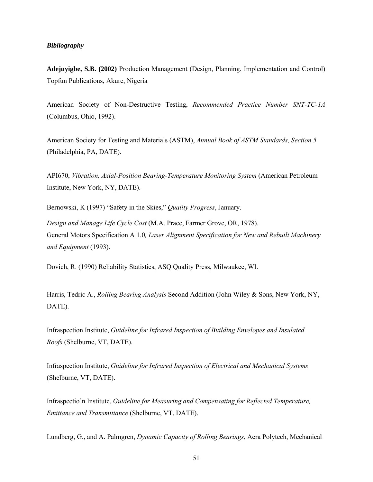## *Bibliography*

**Adejuyigbe, S.B. (2002)** Production Management (Design, Planning, Implementation and Control) Topfun Publications, Akure, Nigeria

American Society of Non-Destructive Testing, *Recommended Practice Number SNT-TC-1A*  (Columbus, Ohio, 1992).

American Society for Testing and Materials (ASTM), *Annual Book of ASTM Standards, Section 5*  (Philadelphia, PA, DATE).

API670, *Vibration, Axial-Position Bearing-Temperature Monitoring System* (American Petroleum Institute, New York, NY, DATE).

Bernowski, K (1997) "Safety in the Skies," *Quality Progress*, January.

*Design and Manage Life Cycle Cost* (M.A. Prace, Farmer Grove, OR, 1978). General Motors Specification A 1.0*, Laser Alignment Specification for New and Rebuilt Machinery and Equipment* (1993).

Dovich, R. (1990) Reliability Statistics, ASQ Quality Press, Milwaukee, WI.

Harris, Tedric A., *Rolling Bearing Analysis* Second Addition (John Wiley & Sons, New York, NY, DATE).

Infraspection Institute, *Guideline for Infrared Inspection of Building Envelopes and Insulated Roofs* (Shelburne, VT, DATE).

Infraspection Institute, *Guideline for Infrared Inspection of Electrical and Mechanical Systems*  (Shelburne, VT, DATE).

Infraspectio`n Institute, *Guideline for Measuring and Compensating for Reflected Temperature, Emittance and Transmittance* (Shelburne, VT, DATE).

Lundberg, G., and A. Palmgren, *Dynamic Capacity of Rolling Bearings*, Acra Polytech, Mechanical